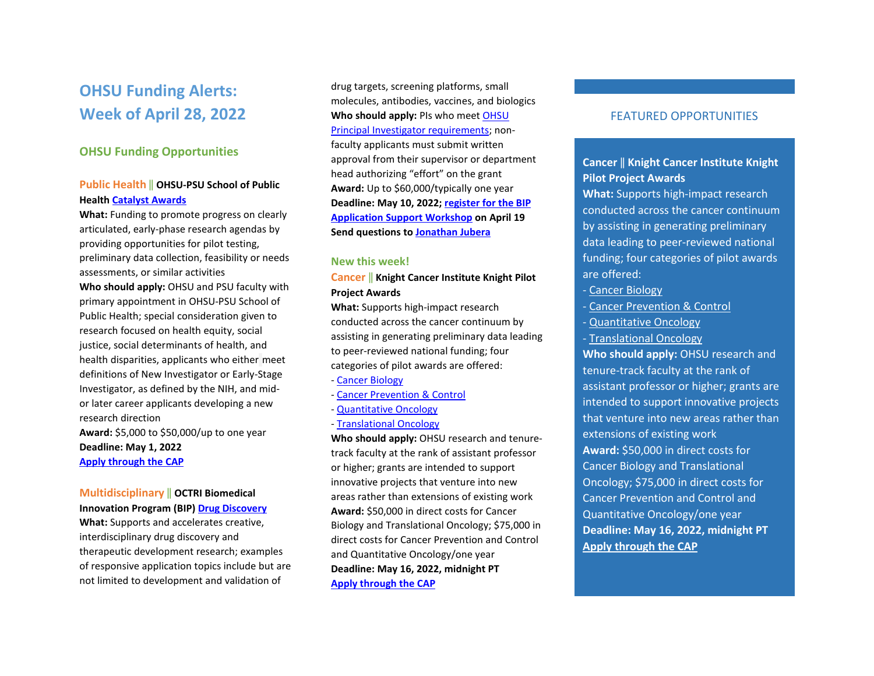# **OHSU Funding Alerts: Week of April 28, 2022**

### **OHSU Funding Opportunities**

#### **Public Health** ‖ **OHSU-PSU School of Public Health [Catalyst Awards](https://ohsu.infoready4.com/#competitionDetail/1862718)**

**What:** Funding to promote progress on clearly articulated, early-phase research agendas by providing opportunities for pilot testing, preliminary data collection, feasibility or needs assessments, or similar activities **Who should apply:** OHSU and PSU faculty with primary appointment in OHSU-PSU School of Public Health; special consideration given to research focused on health equity, social justice, social determinants of health, and health disparities, applicants who either meet definitions of New Investigator or Early-Stage Investigator, as defined by the NIH, and midor later career applicants developing a new research direction **Award:** \$5,000 to \$50,000/up to one year **Deadline: May 1, 2022 [Apply through the CAP](https://ohsu.infoready4.com/#competitionDetail/1862718)** 

#### **Multidisciplinary** ‖ **OCTRI Biomedical Innovation Program (BIP[\) Drug Discovery](chrome-extension://efaidnbmnnnibpcajpcglclefindmkaj/viewer.html?pdfurl=https%3A%2F%2Fwww.ohsu.edu%2Fsites%2Fdefault%2Ffiles%2F2022-03%2FBIP_Drug_RFA_2022_final.pdf&clen=208789&chunk=true)**

**What:** Supports and accelerates creative, interdisciplinary drug discovery and therapeutic development research; examples of responsive application topics include but are not limited to development and validation of

drug targets, screening platforms, small molecules, antibodies, vaccines, and biologics **Who should apply:** PIs who mee[t OHSU](https://o2.ohsu.edu/proposal-and-award-management/resources/upload/04-00-005-100-Principal-Investigator-Eligibility-6-14-16.pdf)  [Principal Investigator requirements;](https://o2.ohsu.edu/proposal-and-award-management/resources/upload/04-00-005-100-Principal-Investigator-Eligibility-6-14-16.pdf) nonfaculty applicants must submit written approval from their supervisor or department head authorizing "effort" on the grant **Award:** Up to \$60,000/typically one year **Deadline: May 10, 2022; [register for the BIP](https://www.eventbrite.com/e/ohsus-biomedical-innovation-program-bip-application-support-workshop-tickets-309101600207?utm_source=eventbrite&utm_medium=email&utm_campaign=post_publish&utm_content=shortLinkNewEmail)  [Application Support Workshop](https://www.eventbrite.com/e/ohsus-biomedical-innovation-program-bip-application-support-workshop-tickets-309101600207?utm_source=eventbrite&utm_medium=email&utm_campaign=post_publish&utm_content=shortLinkNewEmail) on April 19 Send questions t[o Jonathan Jubera](mailto:jubera@ohsu.edu)** 

#### **New this week!**

#### **Cancer** ‖ **Knight Cancer Institute Knight Pilot Project Awards**

**What:** Supports high-impact research conducted across the cancer continuum by assisting in generating preliminary data leading to peer-reviewed national funding; four categories of pilot awards are offered:

- [Cancer Biology](https://ohsu.infoready4.com/#competitionDetail/1869616)
- [Cancer Prevention & Control](https://ohsu.infoready4.com/#competitionDetail/1869620)
- [Quantitative Oncology](https://ohsu.infoready4.com/#competitionDetail/1869619)
- [Translational Oncology](https://ohsu.infoready4.com/#competitionDetail/1869618)

**Who should apply:** OHSU research and tenuretrack faculty at the rank of assistant professor or higher; grants are intended to support innovative projects that venture into new areas rather than extensions of existing work **Award:** \$50,000 in direct costs for Cancer Biology and Translational Oncology; \$75,000 in direct costs for Cancer Prevention and Control and Quantitative Oncology/one year **Deadline: May 16, 2022, midnight PT [Apply through the CAP](https://ohsu.infoready4.com/)** 

## FEATURED OPPORTUNITIES

# **Cancer** ‖ **Knight Cancer Institute Knight Pilot Project Awards**

**What:** Supports high-impact research conducted across the cancer continuum by assisting in generating preliminary data leading to peer-reviewed national funding; four categories of pilot awards are offered:

- [Cancer Biology](https://ohsu.infoready4.com/#competitionDetail/1869616)
- [Cancer Prevention & Control](https://ohsu.infoready4.com/#competitionDetail/1869620)
- [Quantitative Oncology](https://ohsu.infoready4.com/#competitionDetail/1869619)
- [Translational Oncology](https://ohsu.infoready4.com/#competitionDetail/1869618)

**Who should apply:** OHSU research and tenure-track faculty at the rank of assistant professor or higher; grants are intended to support innovative projects that venture into new areas rather than extensions of existing work **Award:** \$50,000 in direct costs for Cancer Biology and Translational Oncology; \$75,000 in direct costs for Cancer Prevention and Control and Quantitative Oncology/one year **Deadline: May 16, 2022, midnight PT [Apply through the CAP](https://ohsu.infoready4.com/)**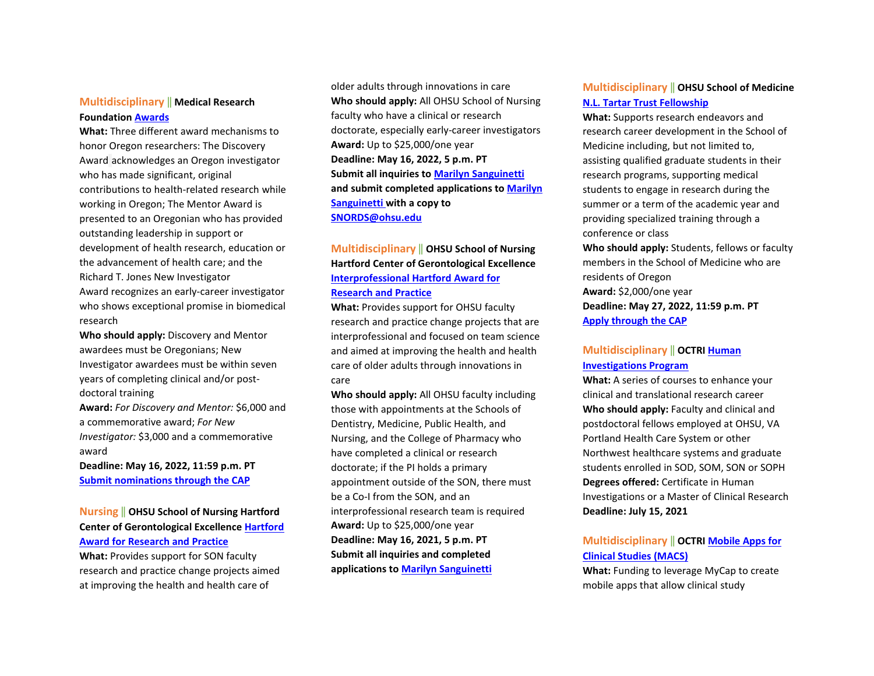#### **Multidisciplinary** ‖ **Medical Research Foundation [Awards](https://ohsu.infoready4.com/#competitionDetail/1868010)**

**What:** Three different award mechanisms to honor Oregon researchers: The Discovery Award acknowledges an Oregon investigator who has made significant, original contributions to health‐related research while working in Oregon; The Mentor Award is presented to an Oregonian who has provided outstanding leadership in support or development of health research, education or the advancement of health care; and the Richard T. Jones New Investigator Award recognizes an early-career investigator who shows exceptional promise in biomedical research

**Who should apply:** Discovery and Mentor awardees must be Oregonians; New Investigator awardees must be within seven years of completing clinical and/or post‐ doctoral training

**Award:** *For Discovery and Mentor:* \$6,000 and a commemorative award; *For New Investigator:* \$3,000 and a commemorative award

**Deadline: May 16, 2022, 11:59 p.m. PT [Submit nominations through the CAP](https://ohsu.infoready4.com/#competitionDetail/1868010)** 

## **Nursing** ‖ **OHSU School of Nursing Hartford Center of Gerontological Excellenc[e Hartford](https://www.ohsu.edu/school-of-nursing/hartford-center-gerontological-excellence/hartford-award-research-and-practice)  [Award for Research and Practice](https://www.ohsu.edu/school-of-nursing/hartford-center-gerontological-excellence/hartford-award-research-and-practice)**

**What:** Provides support for SON faculty research and practice change projects aimed at improving the health and health care of

older adults through innovations in care **Who should apply:** All OHSU School of Nursing faculty who have a clinical or research doctorate, especially early-career investigators **Award:** Up to \$25,000/one year **Deadline: May 16, 2022, 5 p.m. PT Submit all inquiries to [Marilyn Sanguinetti](mailto:sanguine@ohsu.edu) and submit completed applications t[o Marilyn](mailto:sanguine@ohsu.edu)  [Sanguinetti](mailto:sanguine@ohsu.edu) with a copy to [SNORDS@ohsu.edu](mailto:SNORDS@ohsu.edu)**

## **Multidisciplinary** ‖ **OHSU School of Nursing Hartford Center of Gerontological Excellence [Interprofessional Hartford Award for](https://www.ohsu.edu/school-of-nursing/hartford-center-gerontological-excellence/hartford-award-research-and-practice)  [Research and Practice](https://www.ohsu.edu/school-of-nursing/hartford-center-gerontological-excellence/hartford-award-research-and-practice)**

**What:** Provides support for OHSU faculty research and practice change projects that are interprofessional and focused on team science and aimed at improving the health and health care of older adults through innovations in care

**Who should apply:** All OHSU faculty including those with appointments at the Schools of Dentistry, Medicine, Public Health, and Nursing, and the College of Pharmacy who have completed a clinical or research doctorate; if the PI holds a primary appointment outside of the SON, there must be a Co-I from the SON, and an interprofessional research team is required **Award:** Up to \$25,000/one year **Deadline: May 16, 2021, 5 p.m. PT Submit all inquiries and completed applications t[o Marilyn Sanguinetti](mailto:sanguine@ohsu.edu)** 

### **Multidisciplinary** ‖ **OHSU School of Medicine [N.L. Tartar Trust Fellowship](https://ohsu.infoready4.com/#competitionDetail/1866435)**

**What:** Supports research endeavors and research career development in the School of Medicine including, but not limited to, assisting qualified graduate students in their research programs, supporting medical students to engage in research during the summer or a term of the academic year and providing specialized training through a conference or class

**Who should apply:** Students, fellows or faculty members in the School of Medicine who are residents of Oregon **Award:** \$2,000/one year **Deadline: May 27, 2022, 11:59 p.m. PT** 

**[Apply through the CAP](https://ohsu.infoready4.com/#competitionDetail/1866435)** 

### **Multidisciplinary** ‖ **OCTR[I Human](https://www.ohsu.edu/school-of-medicine/human-investigations-program)  [Investigations Program](https://www.ohsu.edu/school-of-medicine/human-investigations-program)**

**What:** A series of courses to enhance your clinical and translational research career **Who should apply:** Faculty and clinical and postdoctoral fellows employed at OHSU, VA Portland Health Care System or other Northwest healthcare systems and graduate students enrolled in SOD, SOM, SON or SOPH **Degrees offered:** Certificate in Human Investigations or a Master of Clinical Research **Deadline: July 15, 2021** 

## **Multidisciplinary** ‖ **OCTR[I Mobile Apps for](https://www.ohsu.edu/octri/pilot-awards-where-translation-begins#:%7E:text=Each%20year%2C%20OCTRI%20awards%20pilot,the%20development%20of%20translational%20research.)  [Clinical Studies \(MACS\)](https://www.ohsu.edu/octri/pilot-awards-where-translation-begins#:%7E:text=Each%20year%2C%20OCTRI%20awards%20pilot,the%20development%20of%20translational%20research.)**

**What:** Funding to leverage MyCap to create mobile apps that allow clinical study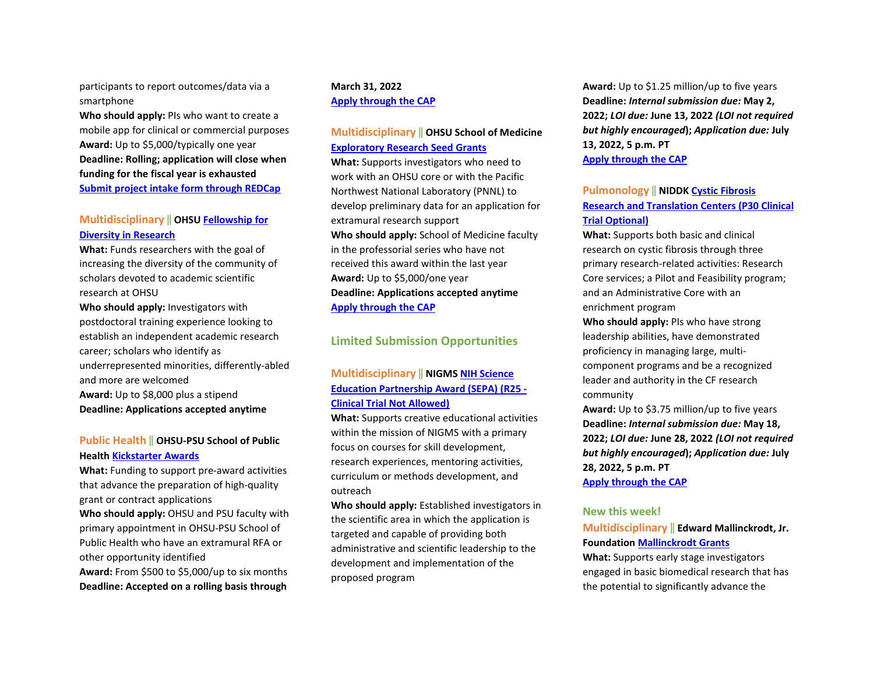participants to report outcomes/data via a smartphone

**Who should apply:** PIs who want to create a mobile app for clinical or commercial purposes **Award:** Up to \$5,000/typically one year **Deadline: Rolling; application will close when funding for the fiscal year is exhausted [Submit project intake form through REDCap](https://octri.ohsu.edu/redcap/surveys/?s=XAD7LYC8TC)**

### **Multidisciplinary** ‖ **OHSU [Fellowship for](https://ohsu.infoready4.com/#competitionDetail/1734209)  [Diversity in Research](https://ohsu.infoready4.com/#competitionDetail/1734209)**

**What:** Funds researchers with the goal of increasing the diversity of the community of scholars devoted to academic scientific research at OHSU

**Who should apply:** Investigators with postdoctoral training experience looking to establish an independent academic research career; scholars who identify as underrepresented minorities, differently-abled and more are welcomed **Award:** Up to \$8,000 plus a stipend **Deadline: Applications accepted anytime** 

#### **Public Health** ‖ **OHSU-PSU School of Public Health [Kickstarter Awards](https://blogs.ohsu.edu/researchnews/files/2021/04/2021-22-SPH-Kickstarter.pdf)**

**What:** Funding to support pre-award activities that advance the preparation of high-quality grant or contract applications

**Who should apply:** OHSU and PSU faculty with primary appointment in OHSU-PSU School of Public Health who have an extramural RFA or other opportunity identified **Award:** From \$500 to \$5,000/up to six months **Deadline: Accepted on a rolling basis through** 

#### **March 31, 2022 [Apply through the CAP](https://ohsu.infoready4.com/#competitionDetail/1841551)**

### **Multidisciplinary** ‖ **OHSU School of Medicine [Exploratory Research Seed Grants](https://ohsu.infoready4.com/#competitionDetail/1825440)**

**What:** Supports investigators who need to work with an OHSU core or with the Pacific Northwest National Laboratory (PNNL) to develop preliminary data for an application for extramural research support **Who should apply:** School of Medicine faculty in the professorial series who have not received this award within the last year **Award:** Up to \$5,000/one year **Deadline: Applications accepted anytime [Apply through the CAP](https://ohsu.infoready4.com/#competitionDetail/1825440)**

#### **Limited Submission Opportunities**

### **Multidisciplinary** ‖ **NIGMS [NIH Science](https://grants.nih.gov/grants/guide/pa-files/par-20-153.html)  [Education Partnership Award \(SEPA\) \(R25 -](https://grants.nih.gov/grants/guide/pa-files/par-20-153.html)  [Clinical Trial Not Allowed\)](https://grants.nih.gov/grants/guide/pa-files/par-20-153.html)**

**What:** Supports creative educational activities within the mission of NIGMS with a primary focus on courses for skill development, research experiences, mentoring activities, curriculum or methods development, and outreach

**Who should apply:** Established investigators in the scientific area in which the application is targeted and capable of providing both administrative and scientific leadership to the development and implementation of the proposed program

**Award:** Up to \$1.25 million/up to five years **Deadline:** *Internal submission due:* **May 2, 2022;** *LOI due:* **June 13, 2022** *(LOI not required but highly encouraged***);** *Application due:* **July 13, 2022, 5 p.m. PT [Apply through the CAP](https://ohsu.infoready4.com/#competitionDetail/1868312)** 

#### **Pulmonology** ‖ **NIDD[K Cystic Fibrosis](https://grants.nih.gov/grants/guide/rfa-files/RFA-DK-22-011.html)  [Research and Translation Centers \(P30 Clinical](https://grants.nih.gov/grants/guide/rfa-files/RFA-DK-22-011.html)  [Trial Optional\)](https://grants.nih.gov/grants/guide/rfa-files/RFA-DK-22-011.html)**

**What:** Supports both basic and clinical research on cystic fibrosis through three primary research-related activities: Research Core services; a Pilot and Feasibility program; and an Administrative Core with an enrichment program

**Who should apply:** PIs who have strong leadership abilities, have demonstrated proficiency in managing large, multicomponent programs and be a recognized leader and authority in the CF research community

**Award:** Up to \$3.75 million/up to five years **Deadline:** *Internal submission due:* **May 18, 2022;** *LOI due:* **June 28, 2022** *(LOI not required but highly encouraged***);** *Application due:* **July 28, 2022, 5 p.m. PT [Apply through the CAP](https://ohsu.infoready4.com/#competitionDetail/1870109)** 

# **New this week!**

# **Multidisciplinary** ‖ **Edward Mallinckrodt, Jr.**

#### **Foundation [Mallinckrodt Grants](https://emallinckrodtfoundation.org/home-page)**

**What:** Supports early stage investigators engaged in basic biomedical research that has the potential to significantly advance the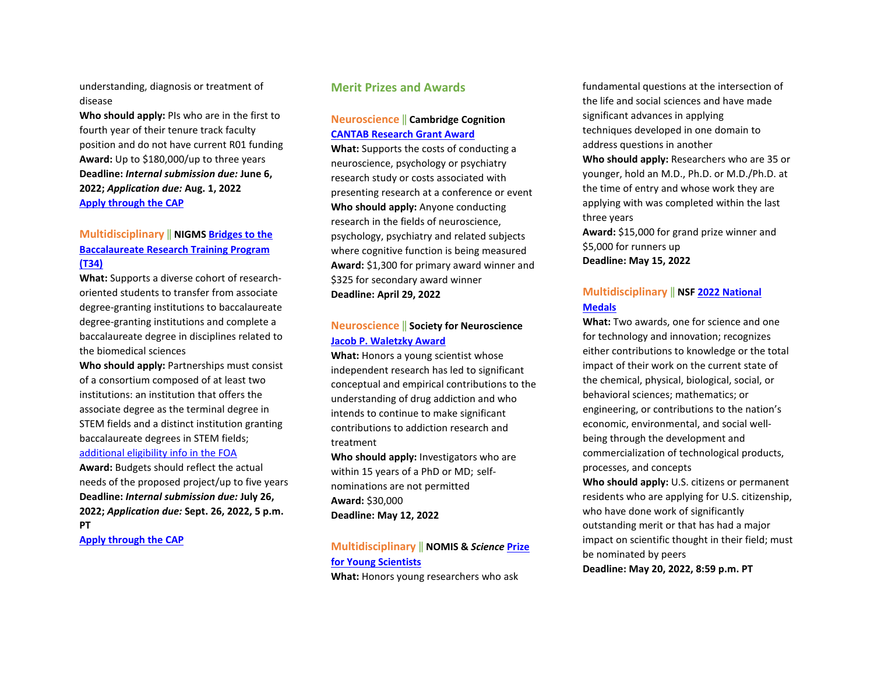understanding, diagnosis or treatment of disease

**Who should apply:** PIs who are in the first to fourth year of their tenure track faculty position and do not have current R01 funding **Award:** Up to \$180,000/up to three years **Deadline:** *Internal submission due:* **June 6, 2022;** *Application due:* **Aug. 1, 2022 [Apply through the CAP](https://ohsu.infoready4.com/#competitionDetail/1870666)** 

## **Multidisciplinary** ‖ **NIGMS [Bridges to the](https://grants.nih.gov/grants/guide/pa-files/PAR-22-125.html)  [Baccalaureate Research Training Program](https://grants.nih.gov/grants/guide/pa-files/PAR-22-125.html)  [\(T34\)](https://grants.nih.gov/grants/guide/pa-files/PAR-22-125.html)**

**What:** Supports a diverse cohort of researchoriented students to transfer from associate degree-granting institutions to baccalaureate degree-granting institutions and complete a baccalaureate degree in disciplines related to the biomedical sciences

**Who should apply:** Partnerships must consist of a consortium composed of at least two institutions: an institution that offers the associate degree as the terminal degree in STEM fields and a distinct institution granting baccalaureate degrees in STEM fields; [additional eligibility info in the FOA](https://grants.nih.gov/grants/guide/pa-files/PAR-22-125.html#_Section_III._Eligibility) 

**Award:** Budgets should reflect the actual needs of the proposed project/up to five years **Deadline:** *Internal submission due:* **July 26, 2022;** *Application due:* **Sept. 26, 2022, 5 p.m. PT**

**[Apply through the CAP](https://ohsu.infoready4.com/#competitionDetail/1869946)** 

### **Merit Prizes and Awards**

#### **Neuroscience** ‖ **Cambridge Cognition [CANTAB Research Grant Award](https://www.cambridgecognition.com/promotion/cantab-research-grant?utm_source=Academic&utm_campaign=d194539bbc-Research_Grant_Deadline_Mailer_2020_COPY_02&utm_medium=email&utm_term=0_3a7eaee2a3-d194539bbc-17838309)**

**What:** Supports the costs of conducting a neuroscience, psychology or psychiatry research study or costs associated with presenting research at a conference or event **Who should apply:** Anyone conducting research in the fields of neuroscience, psychology, psychiatry and related subjects where cognitive function is being measured **Award:** \$1,300 for primary award winner and \$325 for secondary award winner **Deadline: April 29, 2022** 

# **Neuroscience** ‖ **Society for Neuroscience [Jacob P. Waletzky Award](https://www.sfn.org/careers/awards/lifetime/jacob-p-waletzky-award)**

**What:** Honors a young scientist whose independent research has led to significant conceptual and empirical contributions to the understanding of drug addiction and who intends to continue to make significant contributions to addiction research and treatment

**Who should apply:** Investigators who are within 15 years of a PhD or MD; selfnominations are not permitted **Award:** \$30,000 **Deadline: May 12, 2022** 

# **Multidisciplinary** ‖ **NOMIS &** *Science* **[Prize](https://www.science.org/content/page/science-scilifelab-prize-young-scientists)  [for Young Scientists](https://www.science.org/content/page/science-scilifelab-prize-young-scientists)**

**What:** Honors young researchers who ask

fundamental questions at the intersection of the life and social sciences and have made significant advances in applying techniques developed in one domain to address questions in another **Who should apply:** Researchers who are 35 or younger, hold an M.D., Ph.D. or M.D./Ph.D. at the time of entry and whose work they are applying with was completed within the last three years **Award:** \$15,000 for grand prize winner and

\$5,000 for runners up **Deadline: May 15, 2022** 

### **Multidisciplinary** ‖ **NSF [2022 National](https://www.nsf.gov/od/nms/flyers/NMS-and-NMTI-%20Medals-flyer-2022.pdf?utm_medium=email&utm_source=govdelivery)  [Medals](https://www.nsf.gov/od/nms/flyers/NMS-and-NMTI-%20Medals-flyer-2022.pdf?utm_medium=email&utm_source=govdelivery)**

**What:** Two awards, one for science and one for technology and innovation; recognizes either contributions to knowledge or the total impact of their work on the current state of the chemical, physical, biological, social, or behavioral sciences; mathematics; or engineering, or contributions to the nation's economic, environmental, and social wellbeing through the development and commercialization of technological products, processes, and concepts

**Who should apply:** U.S. citizens or permanent residents who are applying for U.S. citizenship, who have done work of significantly outstanding merit or that has had a major impact on scientific thought in their field; must be nominated by peers **Deadline: May 20, 2022, 8:59 p.m. PT**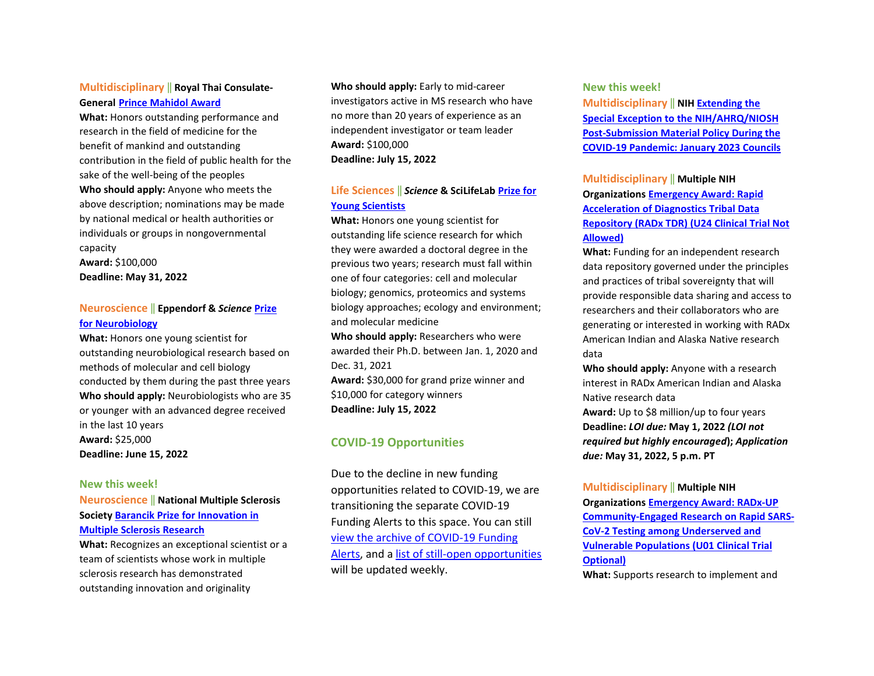### **Multidisciplinary** ‖ **Royal Thai Consulate-General [Prince Mahidol Award](https://www.princemahidolaward.org/categories-of-the-award/)**

**What:** Honors outstanding performance and research in the field of medicine for the benefit of mankind and outstanding contribution in the field of public health for the sake of the well-being of the peoples **Who should apply:** Anyone who meets the above description; nominations may be made by national medical or health authorities or individuals or groups in nongovernmental capacity **Award:** \$100,000 **Deadline: May 31, 2022** 

#### **Neuroscience** ‖ **Eppendorf &** *Science* **[Prize](https://www.science.org/content/page/eppendorf-and-science-prize-neurobiology)  [for Neurobiology](https://www.science.org/content/page/eppendorf-and-science-prize-neurobiology)**

**What:** Honors one young scientist for outstanding neurobiological research based on methods of molecular and cell biology conducted by them during the past three years **Who should apply:** Neurobiologists who are 35 or younger with an advanced degree received in the last 10 years **Award:** \$25,000 **Deadline: June 15, 2022** 

#### **New this week!**

## **Neuroscience** ‖ **National Multiple Sclerosis Society [Barancik Prize for Innovation in](https://www.nationalmssociety.org/For-Professionals/Researchers/Society-Funding/Special-Awards-and-Prizes-(1)/Barancik-Prize-for-Innovation-in-MS-Research)  [Multiple Sclerosis Research](https://www.nationalmssociety.org/For-Professionals/Researchers/Society-Funding/Special-Awards-and-Prizes-(1)/Barancik-Prize-for-Innovation-in-MS-Research)**

**What:** Recognizes an exceptional scientist or a team of scientists whose work in multiple sclerosis research has demonstrated outstanding innovation and originality

**Who should apply:** Early to mid-career investigators active in MS research who have no more than 20 years of experience as an independent investigator or team leader **Award:** \$100,000 **Deadline: July 15, 2022** 

### **Life Sciences** ‖ *Science* **& SciLifeLab [Prize for](https://www.science.org/content/page/science-scilifelab-prize-young-scientists)  [Young Scientists](https://www.science.org/content/page/science-scilifelab-prize-young-scientists)**

**What:** Honors one young scientist for outstanding life science research for which they were awarded a doctoral degree in the previous two years; research must fall within one of four categories: cell and molecular biology; genomics, proteomics and systems biology approaches; ecology and environment; and molecular medicine

**Who should apply:** Researchers who were awarded their Ph.D. between Jan. 1, 2020 and Dec. 31, 2021

**Award:** \$30,000 for grand prize winner and \$10,000 for category winners **Deadline: July 15, 2022** 

## **COVID-19 Opportunities**

Due to the decline in new funding opportunities related to COVID-19, we are transitioning the separate COVID-19 Funding Alerts to this space. You can still [view the archive of COVID](https://blogs.ohsu.edu/researchnews/tag/covid-19-funding/)-19 Funding [Alerts,](https://blogs.ohsu.edu/researchnews/tag/covid-19-funding/) and a list of still-[open opportunities](https://blogs.ohsu.edu/researchnews/2021/06/17/ohsu-covid-19-fu%E2%80%A6en-opportunities/) will be updated weekly.

#### **New this week!**

**Multidisciplinary** ‖ **NI[H Extending the](https://grants.nih.gov/grants/guide/notice-files/NOT-OD-22-113.html)  [Special Exception to the NIH/AHRQ/NIOSH](https://grants.nih.gov/grants/guide/notice-files/NOT-OD-22-113.html)  [Post-Submission Material Policy During the](https://grants.nih.gov/grants/guide/notice-files/NOT-OD-22-113.html)  [COVID-19 Pandemic: January 2023 Councils](https://grants.nih.gov/grants/guide/notice-files/NOT-OD-22-113.html)**

## **Multidisciplinary** ‖ **Multiple NIH Organization[s Emergency Award: Rapid](https://grants.nih.gov/grants/guide/rfa-files/RFA-OD-22-011.html)  [Acceleration of Diagnostics Tribal Data](https://grants.nih.gov/grants/guide/rfa-files/RFA-OD-22-011.html)  Repository (RADx [TDR\) \(U24 Clinical Trial Not](https://grants.nih.gov/grants/guide/rfa-files/RFA-OD-22-011.html)  [Allowed\)](https://grants.nih.gov/grants/guide/rfa-files/RFA-OD-22-011.html)**

**What:** Funding for an independent research data repository governed under the principles and practices of tribal sovereignty that will provide responsible data sharing and access to researchers and their collaborators who are generating or interested in working with RADx American Indian and Alaska Native research data

**Who should apply:** Anyone with a research interest in RADx American Indian and Alaska Native research data

**Award:** Up to \$8 million/up to four years **Deadline:** *LOI due:* **May 1, 2022** *(LOI not required but highly encouraged***);** *Application due:* **May 31, 2022, 5 p.m. PT** 

#### **Multidisciplinary** ‖ **Multiple NIH**

**Organization[s Emergency Award: RADx-UP](https://grants.nih.gov/grants/guide/rfa-files/RFA-OD-22-006.html)  [Community-Engaged Research on Rapid SARS-](https://grants.nih.gov/grants/guide/rfa-files/RFA-OD-22-006.html)[CoV-2 Testing among Underserved and](https://grants.nih.gov/grants/guide/rfa-files/RFA-OD-22-006.html)  [Vulnerable Populations \(U01 Clinical Trial](https://grants.nih.gov/grants/guide/rfa-files/RFA-OD-22-006.html)  [Optional\)](https://grants.nih.gov/grants/guide/rfa-files/RFA-OD-22-006.html)** 

**What:** Supports research to implement and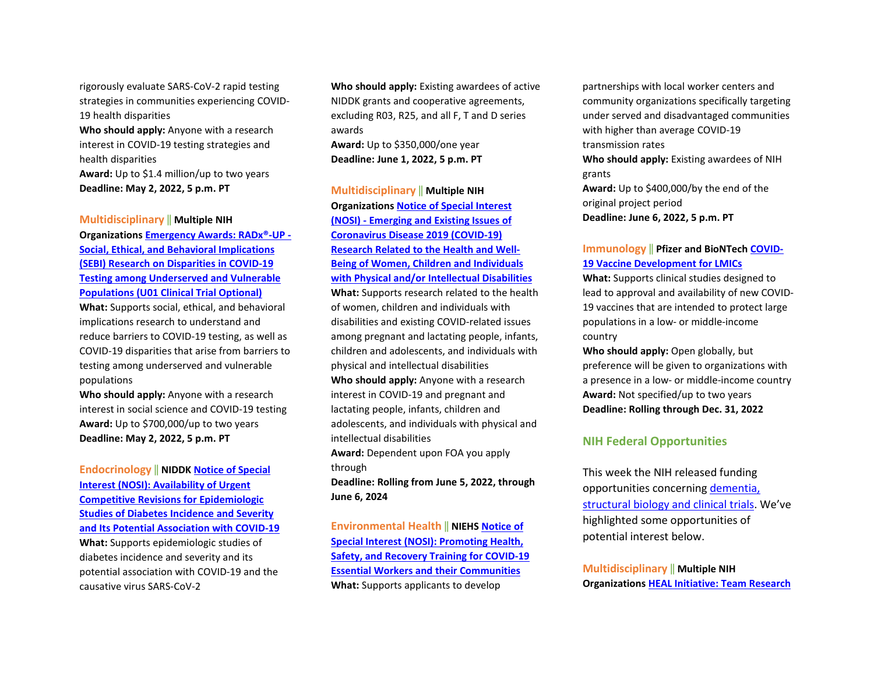rigorously evaluate SARS-CoV-2 rapid testing strategies in communities experiencing COVID-19 health disparities

**Who should apply:** Anyone with a research interest in COVID-19 testing strategies and health disparities **Award:** Up to \$1.4 million/up to two years

**Deadline: May 2, 2022, 5 p.m. PT** 

#### **Multidisciplinary** ‖ **Multiple NIH**

**Organization[s Emergency Awards: RADx®-UP -](https://grants.nih.gov/grants/guide/rfa-files/RFA-OD-22-005.html)  [Social, Ethical, and Behavioral Implications](https://grants.nih.gov/grants/guide/rfa-files/RFA-OD-22-005.html)  [\(SEBI\) Research on Disparities in COVID-19](https://grants.nih.gov/grants/guide/rfa-files/RFA-OD-22-005.html)  [Testing among Underserved and Vulnerable](https://grants.nih.gov/grants/guide/rfa-files/RFA-OD-22-005.html)  [Populations \(U01 Clinical Trial Optional\)](https://grants.nih.gov/grants/guide/rfa-files/RFA-OD-22-005.html)** 

**What:** Supports social, ethical, and behavioral implications research to understand and reduce barriers to COVID-19 testing, as well as COVID-19 disparities that arise from barriers to testing among underserved and vulnerable populations

**Who should apply:** Anyone with a research interest in social science and COVID-19 testing **Award:** Up to \$700,000/up to two years **Deadline: May 2, 2022, 5 p.m. PT** 

**Endocrinology** ‖ **NIDD[K Notice of Special](https://grants.nih.gov/grants/guide/notice-files/NOT-DK-22-017.html)  [Interest \(NOSI\): Availability of Urgent](https://grants.nih.gov/grants/guide/notice-files/NOT-DK-22-017.html)  [Competitive Revisions for Epidemiologic](https://grants.nih.gov/grants/guide/notice-files/NOT-DK-22-017.html)  [Studies of Diabetes Incidence and Severity](https://grants.nih.gov/grants/guide/notice-files/NOT-DK-22-017.html)  [and Its Potential Association with COVID-19](https://grants.nih.gov/grants/guide/notice-files/NOT-DK-22-017.html)  What:** Supports epidemiologic studies of diabetes incidence and severity and its potential association with COVID-19 and the causative virus SARS-CoV-2

**Who should apply:** Existing awardees of active NIDDK grants and cooperative agreements, excluding R03, R25, and all F, T and D series awards

**Award:** Up to \$350,000/one year **Deadline: June 1, 2022, 5 p.m. PT** 

## **Multidisciplinary** ‖ **Multiple NIH Organization[s Notice of Special Interest](https://grants.nih.gov/grants/guide/notice-files/NOT-HD-22-002.html)  [\(NOSI\) - Emerging and Existing Issues of](https://grants.nih.gov/grants/guide/notice-files/NOT-HD-22-002.html)  [Coronavirus Disease 2019 \(COVID-19\)](https://grants.nih.gov/grants/guide/notice-files/NOT-HD-22-002.html)  [Research Related to the Health and Well-](https://grants.nih.gov/grants/guide/notice-files/NOT-HD-22-002.html)[Being of Women, Children and Individuals](https://grants.nih.gov/grants/guide/notice-files/NOT-HD-22-002.html)  [with Physical and/or Intellectual Disabilities](https://grants.nih.gov/grants/guide/notice-files/NOT-HD-22-002.html)**

**What:** Supports research related to the health of women, children and individuals with disabilities and existing COVID-related issues among pregnant and lactating people, infants, children and adolescents, and individuals with physical and intellectual disabilities **Who should apply:** Anyone with a research interest in COVID-19 and pregnant and lactating people, infants, children and adolescents, and individuals with physical and intellectual disabilities **Award:** Dependent upon FOA you apply through

**Deadline: Rolling from June 5, 2022, through June 6, 2024** 

**Environmental Health** ‖ **NIEH[S Notice of](https://grants.nih.gov/grants/guide/notice-files/NOT-ES-22-005.html)  [Special Interest \(NOSI\): Promoting Health,](https://grants.nih.gov/grants/guide/notice-files/NOT-ES-22-005.html)  [Safety, and Recovery Training for COVID-19](https://grants.nih.gov/grants/guide/notice-files/NOT-ES-22-005.html)  [Essential Workers and their Communities](https://grants.nih.gov/grants/guide/notice-files/NOT-ES-22-005.html)  What:** Supports applicants to develop

partnerships with local worker centers and community organizations specifically targeting under served and disadvantaged communities with higher than average COVID-19 transmission rates

**Who should apply:** Existing awardees of NIH grants

**Award:** Up to \$400,000/by the end of the original project period **Deadline: June 6, 2022, 5 p.m. PT** 

#### **Immunology** ‖ **Pfizer and BioNTech [COVID-](https://cdn.pfizer.com/pfizercom/2022-02/2022%20VAC%20G%20COVID-19%20Vaccine%20Development%20for%20LMIC_0.pdf?uzs_X6OsunI1c9QpQUpj3JFOdqf89_dZ)[19 Vaccine Development for LMICs](https://cdn.pfizer.com/pfizercom/2022-02/2022%20VAC%20G%20COVID-19%20Vaccine%20Development%20for%20LMIC_0.pdf?uzs_X6OsunI1c9QpQUpj3JFOdqf89_dZ)**

**What:** Supports clinical studies designed to lead to approval and availability of new COVID-19 vaccines that are intended to protect large populations in a low- or middle-income country

**Who should apply:** Open globally, but preference will be given to organizations with a presence in a low- or middle-income country **Award:** Not specified/up to two years **Deadline: Rolling through Dec. 31, 2022** 

#### **NIH Federal Opportunities**

This week the NIH released funding opportunities concerning [dementia,](https://grants.nih.gov/grants/guide/WeeklyIndexMobile.cfm?WeekEnding=04-22-2022)  [structural biology and clinical trials.](https://grants.nih.gov/grants/guide/WeeklyIndexMobile.cfm?WeekEnding=04-22-2022) We've highlighted some opportunities of potential interest below.

**Multidisciplinary** ‖ **Multiple NIH Organization[s HEAL Initiative: Team Research](https://grants.nih.gov/grants/guide/rfa-files/RFA-NS-22-052.html)**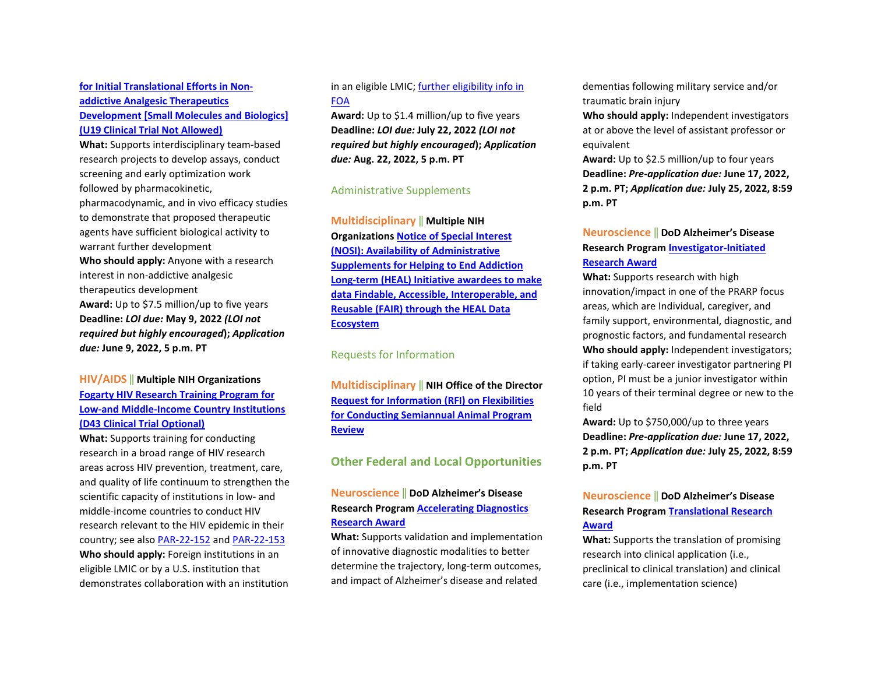## **[for Initial Translational Efforts in Non](https://grants.nih.gov/grants/guide/rfa-files/RFA-NS-22-052.html)[addictive Analgesic Therapeutics](https://grants.nih.gov/grants/guide/rfa-files/RFA-NS-22-052.html)  [Development \[Small Molecules and Biologics\]](https://grants.nih.gov/grants/guide/rfa-files/RFA-NS-22-052.html)  [\(U19 Clinical Trial Not Allowed\)](https://grants.nih.gov/grants/guide/rfa-files/RFA-NS-22-052.html)**

**What:** Supports interdisciplinary team-based research projects to develop assays, conduct screening and early optimization work followed by pharmacokinetic, pharmacodynamic, and in vivo efficacy studies to demonstrate that proposed therapeutic agents have sufficient biological activity to warrant further development **Who should apply:** Anyone with a research interest in non-addictive analgesic therapeutics development **Award:** Up to \$7.5 million/up to five years **Deadline:** *LOI due:* **May 9, 2022** *(LOI not required but highly encouraged***);** *Application due:* **June 9, 2022, 5 p.m. PT** 

### **HIV/AIDS** ‖ **Multiple NIH Organizations [Fogarty HIV Research Training Program for](https://grants.nih.gov/grants/guide/pa-files/PAR-22-151.html)  [Low-and Middle-Income Country Institutions](https://grants.nih.gov/grants/guide/pa-files/PAR-22-151.html)  [\(D43 Clinical Trial Optional\)](https://grants.nih.gov/grants/guide/pa-files/PAR-22-151.html)**

**What:** Supports training for conducting research in a broad range of HIV research areas across HIV prevention, treatment, care, and quality of life continuum to strengthen the scientific capacity of institutions in low- and middle-income countries to conduct HIV research relevant to the HIV epidemic in their country; see also [PAR](https://grants.nih.gov/grants/guide/pa-files/PAR-22-152.html)-22-152 an[d PAR](https://grants.nih.gov/grants/guide/pa-files/PAR-22-153.html)-22-153 **Who should apply:** Foreign institutions in an eligible LMIC or by a U.S. institution that demonstrates collaboration with an institution

#### in an eligible LMIC; [further eligibility info in](https://grants.nih.gov/grants/guide/pa-files/PAR-22-151.html#_Section_III._Eligibility)  [FOA](https://grants.nih.gov/grants/guide/pa-files/PAR-22-151.html#_Section_III._Eligibility)

**Award:** Up to \$1.4 million/up to five years **Deadline:** *LOI due:* **July 22, 2022** *(LOI not required but highly encouraged***);** *Application due:* **Aug. 22, 2022, 5 p.m. PT** 

#### Administrative Supplements

**Multidisciplinary** ‖ **Multiple NIH Organization[s Notice of Special Interest](https://grants.nih.gov/grants/guide/notice-files/NOT-OD-22-110.html)  [\(NOSI\): Availability of Administrative](https://grants.nih.gov/grants/guide/notice-files/NOT-OD-22-110.html)  [Supplements for Helping to End Addiction](https://grants.nih.gov/grants/guide/notice-files/NOT-OD-22-110.html)  [Long-term \(HEAL\) Initiative awardees to make](https://grants.nih.gov/grants/guide/notice-files/NOT-OD-22-110.html)  [data Findable, Accessible, Interoperable, and](https://grants.nih.gov/grants/guide/notice-files/NOT-OD-22-110.html)  [Reusable \(FAIR\) through the HEAL Data](https://grants.nih.gov/grants/guide/notice-files/NOT-OD-22-110.html)  [Ecosystem](https://grants.nih.gov/grants/guide/notice-files/NOT-OD-22-110.html)**

Requests for Information

**Multidisciplinary** ‖ **NIH Office of the Director [Request for Information \(RFI\) on Flexibilities](https://grants.nih.gov/grants/guide/notice-files/NOT-OD-22-114.html)  [for Conducting Semiannual Animal Program](https://grants.nih.gov/grants/guide/notice-files/NOT-OD-22-114.html)  [Review](https://grants.nih.gov/grants/guide/notice-files/NOT-OD-22-114.html)**

### **Other Federal and Local Opportunities**

#### **Neuroscience** ‖ **DoD Alzheimer's Disease Research Program [Accelerating Diagnostics](https://cdmrp.army.mil/funding/prarp)  [Research Award](https://cdmrp.army.mil/funding/prarp)**

**What:** Supports validation and implementation of innovative diagnostic modalities to better determine the trajectory, long-term outcomes, and impact of Alzheimer's disease and related

dementias following military service and/or traumatic brain injury

**Who should apply:** Independent investigators at or above the level of assistant professor or equivalent

**Award:** Up to \$2.5 million/up to four years **Deadline:** *Pre-application due:* **June 17, 2022, 2 p.m. PT;** *Application due:* **July 25, 2022, 8:59 p.m. PT** 

### **Neuroscience** ‖ **DoD Alzheimer's Disease Research Program [Investigator-Initiated](https://cdmrp.army.mil/funding/prarp)  [Research Award](https://cdmrp.army.mil/funding/prarp)**

**What:** Supports research with high innovation/impact in one of the PRARP focus areas, which are Individual, caregiver, and family support, environmental, diagnostic, and prognostic factors, and fundamental research **Who should apply:** Independent investigators; if taking early-career investigator partnering PI option, PI must be a junior investigator within 10 years of their terminal degree or new to the field

**Award:** Up to \$750,000/up to three years **Deadline:** *Pre-application due:* **June 17, 2022, 2 p.m. PT;** *Application due:* **July 25, 2022, 8:59 p.m. PT** 

## **Neuroscience** ‖ **DoD Alzheimer's Disease Research Program [Translational Research](https://cdmrp.army.mil/funding/prarp)  [Award](https://cdmrp.army.mil/funding/prarp)**

**What:** Supports the translation of promising research into clinical application (i.e., preclinical to clinical translation) and clinical care (i.e., implementation science)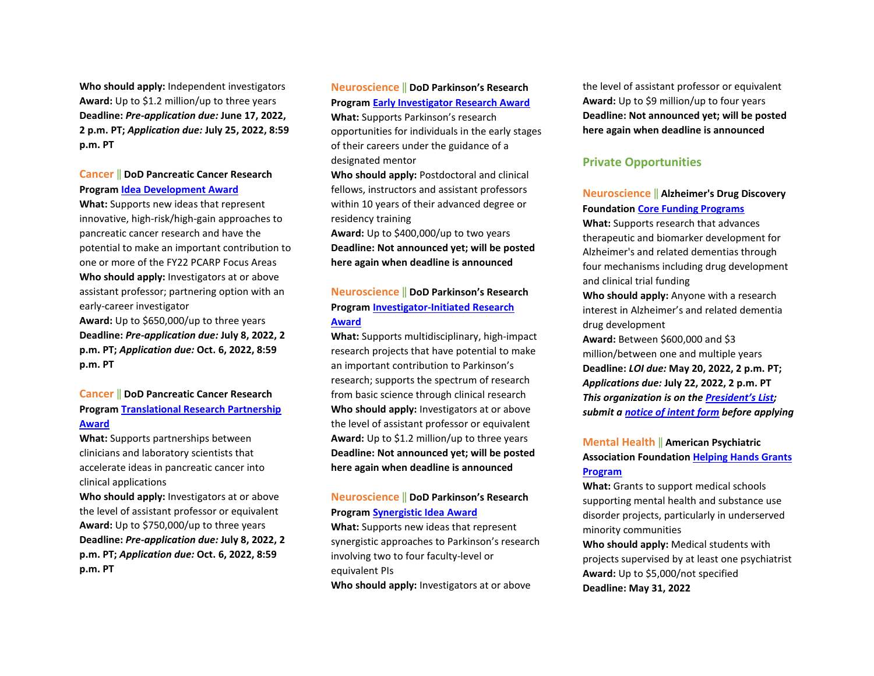**Who should apply:** Independent investigators **Award:** Up to \$1.2 million/up to three years **Deadline:** *Pre-application due:* **June 17, 2022, 2 p.m. PT;** *Application due:* **July 25, 2022, 8:59 p.m. PT** 

#### **Cancer** ‖ **DoD Pancreatic Cancer Research Program [Idea Development Award](https://cdmrp.army.mil/funding/pa/W81XWH-22-PCARP-IDA-GG.pdf)**

**What:** Supports new ideas that represent innovative, high-risk/high-gain approaches to pancreatic cancer research and have the potential to make an important contribution to one or more of the FY22 PCARP Focus Areas **Who should apply:** Investigators at or above assistant professor; partnering option with an early-career investigator **Award:** Up to \$650,000/up to three years **Deadline:** *Pre-application due:* **July 8, 2022, 2 p.m. PT;** *Application due:* **Oct. 6, 2022, 8:59 p.m. PT** 

### **Cancer** ‖ **DoD Pancreatic Cancer Research Program [Translational Research Partnership](https://cdmrp.army.mil/funding/pa/W81XWH-22-PCARP-IDA-GG.pdf)  [Award](https://cdmrp.army.mil/funding/pa/W81XWH-22-PCARP-IDA-GG.pdf)**

**What:** Supports partnerships between clinicians and laboratory scientists that accelerate ideas in pancreatic cancer into clinical applications

**Who should apply:** Investigators at or above the level of assistant professor or equivalent **Award:** Up to \$750,000/up to three years **Deadline:** *Pre-application due:* **July 8, 2022, 2 p.m. PT;** *Application due:* **Oct. 6, 2022, 8:59 p.m. PT** 

### **Neuroscience** ‖ **DoD Parkinson's Research Program [Early Investigator Research Award](https://cdmrp.army.mil/pubs/press/2022/22prppreann)**

**What:** Supports Parkinson's research opportunities for individuals in the early stages of their careers under the guidance of a designated mentor

**Who should apply:** Postdoctoral and clinical fellows, instructors and assistant professors within 10 years of their advanced degree or residency training

**Award:** Up to \$400,000/up to two years **Deadline: Not announced yet; will be posted here again when deadline is announced** 

#### **Neuroscience** ‖ **DoD Parkinson's Research Program [Investigator-Initiated Research](https://cdmrp.army.mil/pubs/press/2022/22prppreann)  [Award](https://cdmrp.army.mil/pubs/press/2022/22prppreann)**

**What:** Supports multidisciplinary, high-impact research projects that have potential to make an important contribution to Parkinson's research; supports the spectrum of research from basic science through clinical research **Who should apply:** Investigators at or above the level of assistant professor or equivalent **Award:** Up to \$1.2 million/up to three years **Deadline: Not announced yet; will be posted here again when deadline is announced** 

#### **Neuroscience** ‖ **DoD Parkinson's Research Program [Synergistic Idea Award](https://cdmrp.army.mil/pubs/press/2022/22prppreann)**

**What:** Supports new ideas that represent synergistic approaches to Parkinson's research involving two to four faculty-level or equivalent PIs

**Who should apply:** Investigators at or above

the level of assistant professor or equivalent **Award:** Up to \$9 million/up to four years **Deadline: Not announced yet; will be posted here again when deadline is announced** 

#### **Private Opportunities**

### **Neuroscience** ‖ **Alzheimer's Drug Discovery Foundation [Core Funding Programs](https://www.alzdiscovery.org/research-and-grants/funding-opportunities)**

**What:** Supports research that advances therapeutic and biomarker development for Alzheimer's and related dementias through four mechanisms including drug development and clinical trial funding

**Who should apply:** Anyone with a research interest in Alzheimer's and related dementia drug development

**Award:** Between \$600,000 and \$3 million/between one and multiple years **Deadline:** *LOI due:* **May 20, 2022, 2 p.m. PT;**  *Applications due:* **July 22, 2022, 2 p.m. PT**  *This organization is on th[e President's List;](https://o2.ohsu.edu/foundations/research-program-grants/ohsu-presidents-list/index.cfm)  submit a [notice of intent form](https://app.smartsheet.com/b/form?EQBCT=b4b914967b774308b1947bbf8ab27b15) before applying* 

### **Mental Health** ‖ **American Psychiatric Association Foundation [Helping Hands Grants](https://apafdn.org/Impact/Community/Helping-Hands-Grants/Application)  [Program](https://apafdn.org/Impact/Community/Helping-Hands-Grants/Application)**

**What:** Grants to support medical schools supporting mental health and substance use disorder projects, particularly in underserved minority communities

**Who should apply:** Medical students with projects supervised by at least one psychiatrist **Award:** Up to \$5,000/not specified **Deadline: May 31, 2022**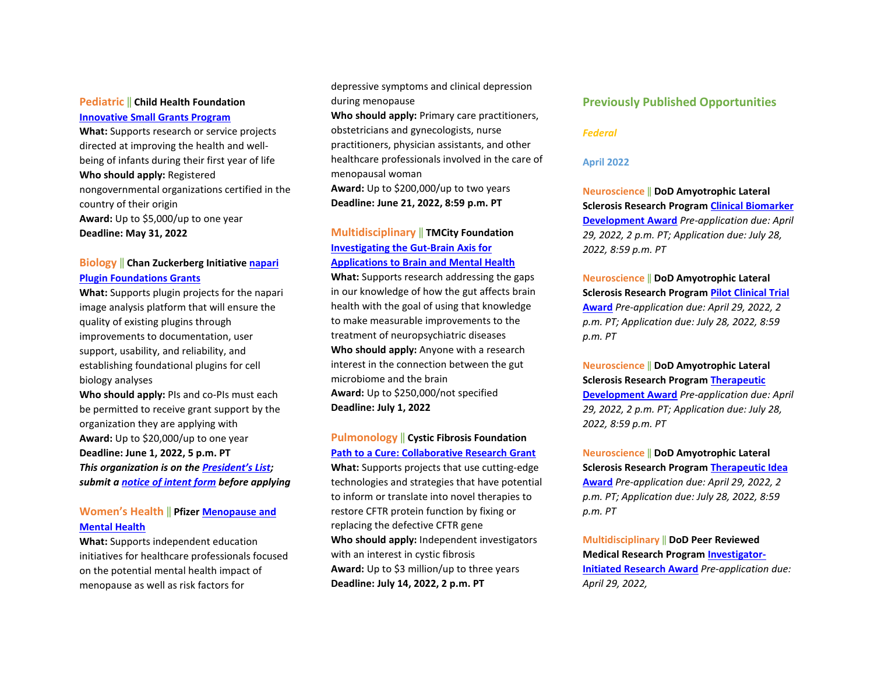#### **Pediatric** ‖ **Child Health Foundation [Innovative Small Grants Program](https://childhealthfoundation.org/how-to-apply/)**

**What:** Supports research or service projects directed at improving the health and wellbeing of infants during their first year of life **Who should apply:** Registered nongovernmental organizations certified in the country of their origin **Award:** Up to \$5,000/up to one year **Deadline: May 31, 2022** 

### **Biology** ‖ **Chan Zuckerberg Initiative [napari](https://chanzuckerberg.com/rfa/napari-plugin-grants/?utm_campaign=Science&utm_medium=email&_hsmi=210365815&_hsenc=p2ANqtz--nAEQtge5PddaCkuwjZ2d5OX2ZfAkLvWRRXsrCNTbiI2ERgju_-O7iR6thKypomFPXOYwYnieVr8N1iIo3Ct0_S1Na7g&utm_content=210365815&utm_source=hs_email)  [Plugin Foundations Grants](https://chanzuckerberg.com/rfa/napari-plugin-grants/?utm_campaign=Science&utm_medium=email&_hsmi=210365815&_hsenc=p2ANqtz--nAEQtge5PddaCkuwjZ2d5OX2ZfAkLvWRRXsrCNTbiI2ERgju_-O7iR6thKypomFPXOYwYnieVr8N1iIo3Ct0_S1Na7g&utm_content=210365815&utm_source=hs_email)**

**What:** Supports plugin projects for the napari image analysis platform that will ensure the quality of existing plugins through improvements to documentation, user support, usability, and reliability, and establishing foundational plugins for cell biology analyses

**Who should apply:** PIs and co-PIs must each be permitted to receive grant support by the organization they are applying with **Award:** Up to \$20,000/up to one year **Deadline: June 1, 2022, 5 p.m. PT**  *This organization is on th[e President's List;](https://o2.ohsu.edu/foundations/research-program-grants/ohsu-presidents-list/index.cfm)  submit a [notice of intent form](https://app.smartsheet.com/b/form?EQBCT=b4b914967b774308b1947bbf8ab27b15) before applying* 

#### **Women's Health** ‖ **Pfizer [Menopause and](https://cdn.pfizer.com/pfizercom/2022-04/GMG_2022-IM-US_MenopauseMentalHealth.pdf?aAoPbkh2Cu2_g0Ai0ghViDzXuzK_R3j_)  [Mental Health](https://cdn.pfizer.com/pfizercom/2022-04/GMG_2022-IM-US_MenopauseMentalHealth.pdf?aAoPbkh2Cu2_g0Ai0ghViDzXuzK_R3j_)**

**What:** Supports independent education initiatives for healthcare professionals focused on the potential mental health impact of menopause as well as risk factors for

depressive symptoms and clinical depression during menopause

**Who should apply:** Primary care practitioners, obstetricians and gynecologists, nurse practitioners, physician assistants, and other healthcare professionals involved in the care of menopausal woman

**Award:** Up to \$200,000/up to two years **Deadline: June 21, 2022, 8:59 p.m. PT** 

### **Multidisciplinary** ‖ **TMCity Foundation [Investigating the Gut-Brain Axis for](https://www.tmcity.org/rfp)  [Applications to Brain and Mental Health](https://www.tmcity.org/rfp)**

**What:** Supports research addressing the gaps in our knowledge of how the gut affects brain health with the goal of using that knowledge to make measurable improvements to the treatment of neuropsychiatric diseases **Who should apply:** Anyone with a research interest in the connection between the gut microbiome and the brain **Award:** Up to \$250,000/not specified **Deadline: July 1, 2022** 

### **Pulmonology** ‖ **Cystic Fibrosis Foundation [Path to a Cure: Collaborative Research Grant](https://www.cff.org/researchers/path-cure-collaborative-research-grant)**

**What:** Supports projects that use cutting-edge technologies and strategies that have potential to inform or translate into novel therapies to restore CFTR protein function by fixing or replacing the defective CFTR gene **Who should apply:** Independent investigators with an interest in cystic fibrosis **Award:** Up to \$3 million/up to three years **Deadline: July 14, 2022, 2 p.m. PT** 

#### **Previously Published Opportunities**

#### *Federal*

#### **April 2022**

**Neuroscience** ‖ **DoD Amyotrophic Lateral Sclerosis Research Program [Clinical Biomarker](https://cdmrp.army.mil/funding/alsrp)  [Development Award](https://cdmrp.army.mil/funding/alsrp)** *Pre-application due: April 29, 2022, 2 p.m. PT; Application due: July 28, 2022, 8:59 p.m. PT* 

**Neuroscience** ‖ **DoD Amyotrophic Lateral Sclerosis Research Program [Pilot Clinical Trial](https://cdmrp.army.mil/funding/alsrp)  [Award](https://cdmrp.army.mil/funding/alsrp)** *Pre-application due: April 29, 2022, 2 p.m. PT; Application due: July 28, 2022, 8:59 p.m. PT* 

**Neuroscience** ‖ **DoD Amyotrophic Lateral Sclerosis Research Program [Therapeutic](https://cdmrp.army.mil/funding/alsrp)  [Development Award](https://cdmrp.army.mil/funding/alsrp)** *Pre-application due: April 29, 2022, 2 p.m. PT; Application due: July 28, 2022, 8:59 p.m. PT* 

**Neuroscience** ‖ **DoD Amyotrophic Lateral Sclerosis Research Program [Therapeutic Idea](https://cdmrp.army.mil/funding/alsrp)  [Award](https://cdmrp.army.mil/funding/alsrp)** *Pre-application due: April 29, 2022, 2 p.m. PT; Application due: July 28, 2022, 8:59 p.m. PT* 

**Multidisciplinary** ‖ **DoD Peer Reviewed Medical Research Progra[m Investigator-](https://cdmrp.army.mil/funding/prmrp)[Initiated Research Award](https://cdmrp.army.mil/funding/prmrp)** *Pre-application due: April 29, 2022,*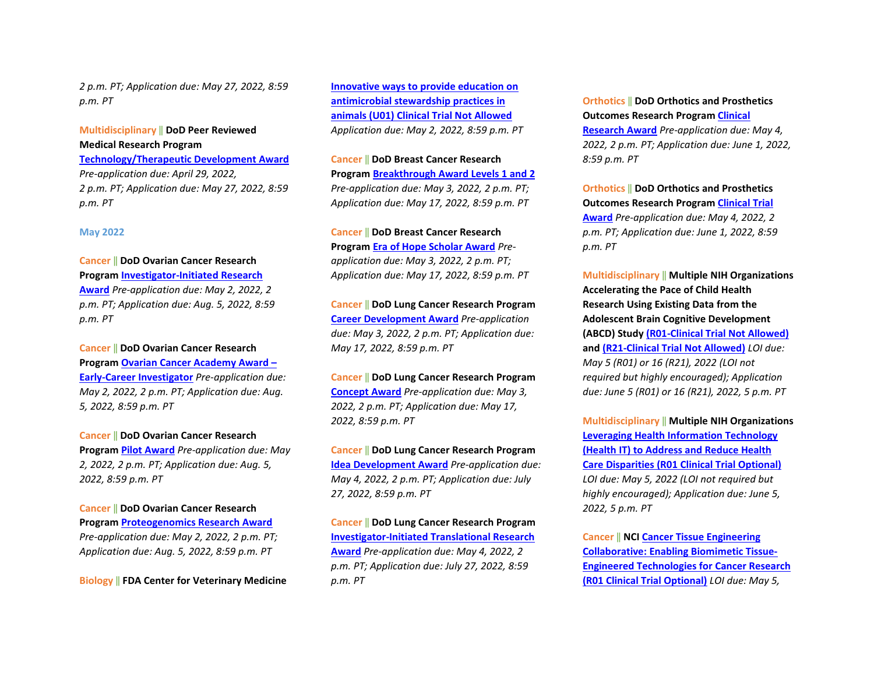*2 p.m. PT; Application due: May 27, 2022, 8:59 p.m. PT* 

## **Multidisciplinary** ‖ **DoD Peer Reviewed Medical Research Program**

**[Technology/Therapeutic Development Award](https://cdmrp.army.mil/funding/prmrp)** *Pre-application due: April 29, 2022, 2 p.m. PT; Application due: May 27, 2022, 8:59 p.m. PT*

#### **May 2022**

#### **Cancer** ‖ **DoD Ovarian Cancer Research**

**Program [Investigator-Initiated Research](https://cdmrp.army.mil/funding/ocrp)  [Award](https://cdmrp.army.mil/funding/ocrp)** *Pre-application due: May 2, 2022, 2 p.m. PT; Application due: Aug. 5, 2022, 8:59 p.m. PT* 

**Cancer** ‖ **DoD Ovarian Cancer Research Program [Ovarian Cancer Academy Award –](https://cdmrp.army.mil/funding/ocrp)  [Early-Career Investigator](https://cdmrp.army.mil/funding/ocrp)** *Pre-application due: May 2, 2022, 2 p.m. PT; Application due: Aug. 5, 2022, 8:59 p.m. PT* 

**Cancer** ‖ **DoD Ovarian Cancer Research Program [Pilot Award](https://cdmrp.army.mil/funding/ocrp)** *Pre-application due: May 2, 2022, 2 p.m. PT; Application due: Aug. 5, 2022, 8:59 p.m. PT* 

**Cancer** ‖ **DoD Ovarian Cancer Research Program [Proteogenomics Research Award](https://cdmrp.army.mil/funding/ocrp)** *Pre-application due: May 2, 2022, 2 p.m. PT; Application due: Aug. 5, 2022, 8:59 p.m. PT* 

**Biology** ‖ **FDA Center for Veterinary Medicine** 

**[Innovative ways to provide education on](https://grants.nih.gov/grants/guide/pa-files/PAR-22-108.html)  [antimicrobial stewardship practices in](https://grants.nih.gov/grants/guide/pa-files/PAR-22-108.html)  [animals \(U01\) Clinical Trial Not Allowed](https://grants.nih.gov/grants/guide/pa-files/PAR-22-108.html)** *Application due: May 2, 2022, 8:59 p.m. PT* 

**Cancer** ‖ **DoD Breast Cancer Research Program [Breakthrough Award Levels 1 and 2](https://cdmrp.army.mil/funding/bcrp)** *Pre-application due: May 3, 2022, 2 p.m. PT; Application due: May 17, 2022, 8:59 p.m. PT* 

**Cancer** ‖ **DoD Breast Cancer Research Program [Era of Hope Scholar Award](https://cdmrp.army.mil/funding/bcrp)** *Preapplication due: May 3, 2022, 2 p.m. PT; Application due: May 17, 2022, 8:59 p.m. PT* 

**Cancer** ‖ **DoD Lung Cancer Research Program [Career Development Award](https://cdmrp.army.mil/funding/lcrp)** *Pre-application due: May 3, 2022, 2 p.m. PT; Application due: May 17, 2022, 8:59 p.m. PT* 

**Cancer** ‖ **DoD Lung Cancer Research Program [Concept Award](https://cdmrp.army.mil/funding/lcrp)** *Pre-application due: May 3, 2022, 2 p.m. PT; Application due: May 17, 2022, 8:59 p.m. PT* 

**Cancer** ‖ **DoD Lung Cancer Research Program [Idea Development Award](https://cdmrp.army.mil/funding/lcrp)** *Pre-application due: May 4, 2022, 2 p.m. PT; Application due: July 27, 2022, 8:59 p.m. PT* 

**Cancer** ‖ **DoD Lung Cancer Research Program [Investigator-Initiated Translational Research](https://cdmrp.army.mil/funding/lcrp)  [Award](https://cdmrp.army.mil/funding/lcrp)** *Pre-application due: May 4, 2022, 2 p.m. PT; Application due: July 27, 2022, 8:59 p.m. PT* 

**Orthotics** ‖ **DoD Orthotics and Prosthetics Outcomes Research Progra[m Clinical](https://cdmrp.army.mil/funding/oporp)  [Research Award](https://cdmrp.army.mil/funding/oporp)** *Pre-application due: May 4, 2022, 2 p.m. PT; Application due: June 1, 2022, 8:59 p.m. PT* 

**Orthotics** ‖ **DoD Orthotics and Prosthetics Outcomes Research Progra[m Clinical Trial](https://cdmrp.army.mil/funding/oporp)  [Award](https://cdmrp.army.mil/funding/oporp)** *Pre-application due: May 4, 2022, 2 p.m. PT; Application due: June 1, 2022, 8:59 p.m. PT*

**Multidisciplinary** ‖ **Multiple NIH Organizations Accelerating the Pace of Child Health Research Using Existing Data from the Adolescent Brain Cognitive Development (ABCD) Stud[y \(R01-Clinical Trial Not Allowed\)](https://grants.nih.gov/grants/guide/pa-files/PAR-22-137.html) and [\(R21-Clinical Trial Not Allowed\)](https://grants.nih.gov/grants/guide/pa-files/PAR-22-138.html)** *LOI due: May 5 (R01) or 16 (R21), 2022 (LOI not required but highly encouraged); Application due: June 5 (R01) or 16 (R21), 2022, 5 p.m. PT*

**Multidisciplinary** ‖ **Multiple NIH Organizations [Leveraging Health Information Technology](https://grants.nih.gov/grants/guide/pa-files/PAR-22-145.html)  [\(Health IT\) to Address and Reduce Health](https://grants.nih.gov/grants/guide/pa-files/PAR-22-145.html)  [Care Disparities \(R01 Clinical Trial Optional\)](https://grants.nih.gov/grants/guide/pa-files/PAR-22-145.html)** *LOI due: May 5, 2022 (LOI not required but highly encouraged); Application due: June 5, 2022, 5 p.m. PT*

**Cancer** ‖ **NC[I Cancer Tissue Engineering](https://grants.nih.gov/grants/guide/pa-files/PAR-22-099.html)  [Collaborative: Enabling Biomimetic Tissue-](https://grants.nih.gov/grants/guide/pa-files/PAR-22-099.html)[Engineered Technologies for Cancer Research](https://grants.nih.gov/grants/guide/pa-files/PAR-22-099.html)  [\(R01 Clinical Trial Optional\)](https://grants.nih.gov/grants/guide/pa-files/PAR-22-099.html)** *LOI due: May 5,*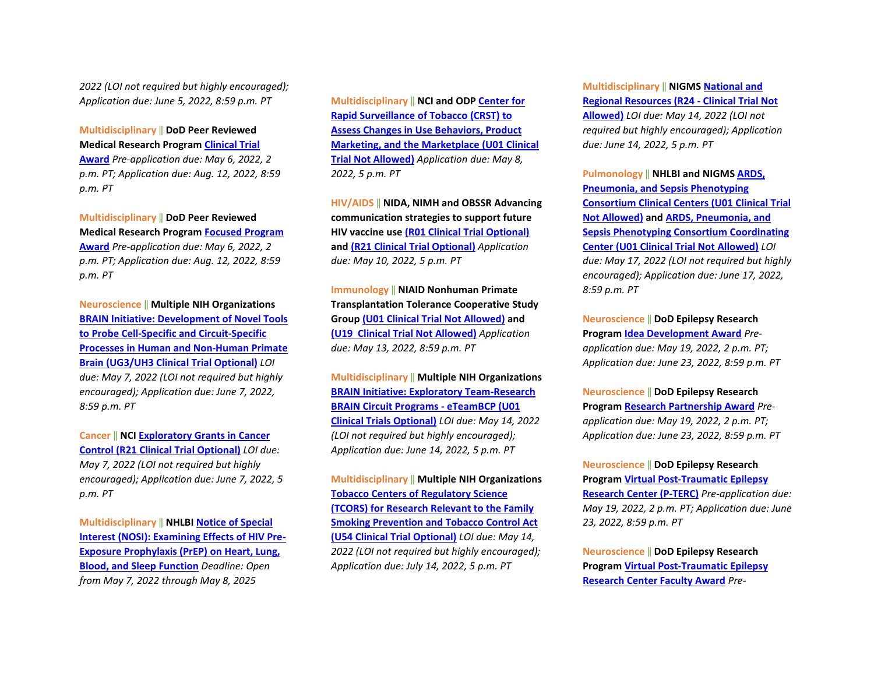*2022 (LOI not required but highly encouraged); Application due: June 5, 2022, 8:59 p.m. PT*

**Multidisciplinary** ‖ **DoD Peer Reviewed Medical Research Progra[m Clinical Trial](https://cdmrp.army.mil/funding/prmrp)  [Award](https://cdmrp.army.mil/funding/prmrp)** *Pre-application due: May 6, 2022, 2 p.m. PT; Application due: Aug. 12, 2022, 8:59 p.m. PT* 

**Multidisciplinary** ‖ **DoD Peer Reviewed Medical Research Progra[m Focused Program](https://cdmrp.army.mil/funding/prmrp)  [Award](https://cdmrp.army.mil/funding/prmrp)** *Pre-application due: May 6, 2022, 2 p.m. PT; Application due: Aug. 12, 2022, 8:59 p.m. PT*

**Neuroscience** ‖ **Multiple NIH Organizations [BRAIN Initiative: Development of Novel Tools](https://grants.nih.gov/grants/guide/rfa-files/RFA-MH-22-115.html)  [to Probe Cell-Specific and Circuit-Specific](https://grants.nih.gov/grants/guide/rfa-files/RFA-MH-22-115.html)  [Processes in Human and Non-Human Primate](https://grants.nih.gov/grants/guide/rfa-files/RFA-MH-22-115.html)  [Brain \(UG3/UH3 Clinical Trial Optional\)](https://grants.nih.gov/grants/guide/rfa-files/RFA-MH-22-115.html)** *LOI due: May 7, 2022 (LOI not required but highly encouraged); Application due: June 7, 2022, 8:59 p.m. PT*

**Cancer** ‖ **NC[I Exploratory Grants in Cancer](https://grants.nih.gov/grants/guide/pa-files/PAR-21-341.html)  [Control \(R21 Clinical Trial Optional\)](https://grants.nih.gov/grants/guide/pa-files/PAR-21-341.html)** *LOI due: May 7, 2022 (LOI not required but highly encouraged); Application due: June 7, 2022, 5 p.m. PT*

**Multidisciplinary** ‖ **NHLBI [Notice of Special](https://grants.nih.gov/grants/guide/notice-files/NOT-HL-21-025.html)  [Interest \(NOSI\): Examining Effects of HIV Pre-](https://grants.nih.gov/grants/guide/notice-files/NOT-HL-21-025.html)[Exposure Prophylaxis \(PrEP\) on Heart, Lung,](https://grants.nih.gov/grants/guide/notice-files/NOT-HL-21-025.html)  [Blood, and Sleep Function](https://grants.nih.gov/grants/guide/notice-files/NOT-HL-21-025.html)** *Deadline: Open from May 7, 2022 through May 8, 2025*

**Multidisciplinary** ‖ **NCI and OD[P Center for](https://grants.nih.gov/grants/guide/rfa-files/RFA-OD-22-002.html)  [Rapid Surveillance of Tobacco \(CRST\) to](https://grants.nih.gov/grants/guide/rfa-files/RFA-OD-22-002.html)  [Assess Changes in Use Behaviors, Product](https://grants.nih.gov/grants/guide/rfa-files/RFA-OD-22-002.html)  [Marketing, and the Marketplace \(U01 Clinical](https://grants.nih.gov/grants/guide/rfa-files/RFA-OD-22-002.html)  [Trial Not Allowed\)](https://grants.nih.gov/grants/guide/rfa-files/RFA-OD-22-002.html)** *Application due: May 8, 2022, 5 p.m. PT* 

**HIV/AIDS** ‖ **NIDA, NIMH and OBSSR Advancing communication strategies to support future HIV vaccine use [\(R01 Clinical Trial Optional\)](https://grants.nih.gov/grants/guide/rfa-files/RFA-MH-22-170.html) and [\(R21 Clinical Trial Optional\)](https://grants.nih.gov/grants/guide/rfa-files/RFA-MH-22-171.html)** *Application due: May 10, 2022, 5 p.m. PT* 

**Immunology** ‖ **NIAID Nonhuman Primate Transplantation Tolerance Cooperative Study Grou[p \(U01 Clinical Trial Not Allowed\)](https://grants.nih.gov/grants/guide/rfa-files/RFA-AI-22-002.html) and [\(U19 Clinical Trial Not Allowed\)](https://grants.nih.gov/grants/guide/rfa-files/RFA-AI-22-003.html)** *Application due: May 13, 2022, 8:59 p.m. PT* 

**Multidisciplinary** ‖ **Multiple NIH Organizations [BRAIN Initiative: Exploratory Team-Research](https://grants.nih.gov/grants/guide/rfa-files/RFA-NS-22-028.html)  [BRAIN Circuit Programs - eTeamBCP](https://grants.nih.gov/grants/guide/rfa-files/RFA-NS-22-028.html) (U01 [Clinical Trials Optional\)](https://grants.nih.gov/grants/guide/rfa-files/RFA-NS-22-028.html)** *LOI due: May 14, 2022 (LOI not required but highly encouraged); Application due: June 14, 2022, 5 p.m. PT* 

**Multidisciplinary** ‖ **Multiple NIH Organizations [Tobacco Centers of Regulatory Science](https://grants.nih.gov/grants/guide/rfa-files/RFA-OD-22-004.html)  [\(TCORS\) for Research Relevant to the Family](https://grants.nih.gov/grants/guide/rfa-files/RFA-OD-22-004.html)  [Smoking Prevention and Tobacco Control Act](https://grants.nih.gov/grants/guide/rfa-files/RFA-OD-22-004.html)  [\(U54 Clinical Trial Optional\)](https://grants.nih.gov/grants/guide/rfa-files/RFA-OD-22-004.html)** *LOI due: May 14, 2022 (LOI not required but highly encouraged); Application due: July 14, 2022, 5 p.m. PT*

**Multidisciplinary** ‖ **NIGM[S National and](https://grants.nih.gov/grants/guide/pa-files/PAR-22-065.html)  [Regional Resources \(R24 - Clinical Trial Not](https://grants.nih.gov/grants/guide/pa-files/PAR-22-065.html)** 

**[Allowed\)](https://grants.nih.gov/grants/guide/pa-files/PAR-22-065.html)** *LOI due: May 14, 2022 (LOI not required but highly encouraged); Application due: June 14, 2022, 5 p.m. PT*

**Pulmonology** ‖ **NHLBI and NIGMS [ARDS,](https://grants.nih.gov/grants/guide/rfa-files/RFA-HL-23-001.html)  [Pneumonia, and Sepsis Phenotyping](https://grants.nih.gov/grants/guide/rfa-files/RFA-HL-23-001.html)  [Consortium Clinical Centers \(U01 Clinical Trial](https://grants.nih.gov/grants/guide/rfa-files/RFA-HL-23-001.html)  [Not Allowed\)](https://grants.nih.gov/grants/guide/rfa-files/RFA-HL-23-001.html) and [ARDS, Pneumonia, and](https://grants.nih.gov/grants/guide/rfa-files/RFA-HL-23-002.html)  [Sepsis Phenotyping Consortium Coordinating](https://grants.nih.gov/grants/guide/rfa-files/RFA-HL-23-002.html)  [Center \(U01 Clinical Trial Not Allowed\)](https://grants.nih.gov/grants/guide/rfa-files/RFA-HL-23-002.html)** *LOI due: May 17, 2022 (LOI not required but highly encouraged); Application due: June 17, 2022, 8:59 p.m. PT*

**Neuroscience** ‖ **DoD Epilepsy Research Program [Idea Development Award](https://cdmrp.army.mil/funding/erp)** *Preapplication due: May 19, 2022, 2 p.m. PT; Application due: June 23, 2022, 8:59 p.m. PT* 

**Neuroscience** ‖ **DoD Epilepsy Research Program [Research Partnership Award](https://cdmrp.army.mil/funding/erp)** *Preapplication due: May 19, 2022, 2 p.m. PT; Application due: June 23, 2022, 8:59 p.m. PT* 

**Neuroscience** ‖ **DoD Epilepsy Research Program [Virtual Post-Traumatic Epilepsy](https://cdmrp.army.mil/funding/erp)  [Research Center \(P-TERC\)](https://cdmrp.army.mil/funding/erp)** *Pre-application due: May 19, 2022, 2 p.m. PT; Application due: June 23, 2022, 8:59 p.m. PT* 

**Neuroscience** ‖ **DoD Epilepsy Research Program [Virtual Post-Traumatic Epilepsy](https://cdmrp.army.mil/funding/erp)  [Research Center Faculty Award](https://cdmrp.army.mil/funding/erp)** *Pre-*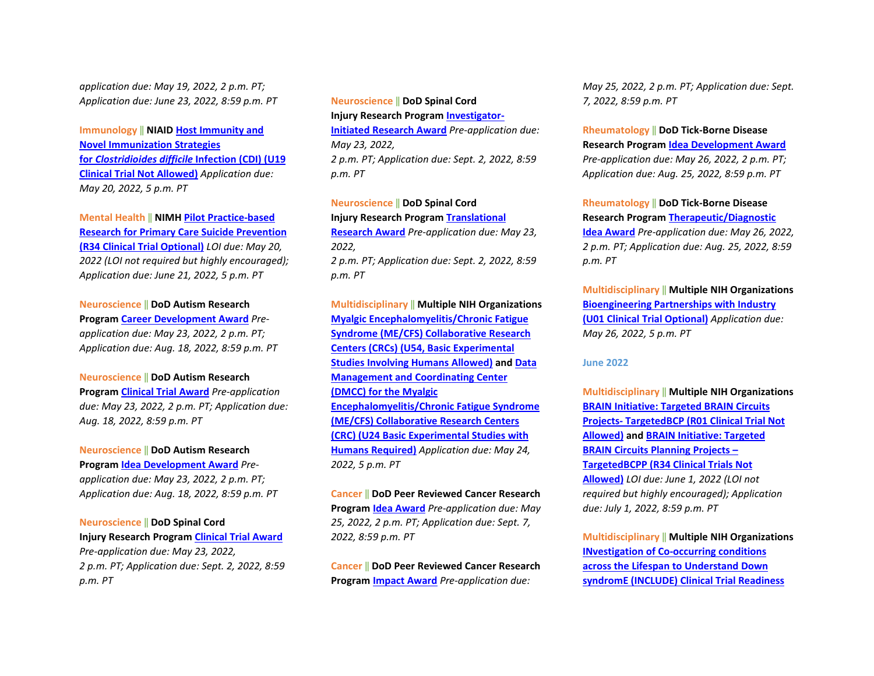*application due: May 19, 2022, 2 p.m. PT; Application due: June 23, 2022, 8:59 p.m. PT*

**Immunology** ‖ **NIAI[D Host Immunity and](https://grants.nih.gov/grants/guide/rfa-files/RFA-AI-22-001.html)  [Novel Immunization Strategies](https://grants.nih.gov/grants/guide/rfa-files/RFA-AI-22-001.html)  for** *[Clostridioides difficile](https://grants.nih.gov/grants/guide/rfa-files/RFA-AI-22-001.html)* **Infection (CDI) (U19 [Clinical Trial Not Allowed\)](https://grants.nih.gov/grants/guide/rfa-files/RFA-AI-22-001.html)** *Application due: May 20, 2022, 5 p.m. PT*

**Mental Health** ‖ **NIMH [Pilot Practice-based](https://grants.nih.gov/grants/guide/rfa-files/RFA-MH-22-120.html)  [Research for Primary Care Suicide Prevention](https://grants.nih.gov/grants/guide/rfa-files/RFA-MH-22-120.html)  [\(R34 Clinical Trial Optional\)](https://grants.nih.gov/grants/guide/rfa-files/RFA-MH-22-120.html)** *LOI due: May 20, 2022 (LOI not required but highly encouraged); Application due: June 21, 2022, 5 p.m. PT*

**Neuroscience** ‖ **DoD Autism Research Program [Career Development Award](https://cdmrp.army.mil/funding/arp)** *Preapplication due: May 23, 2022, 2 p.m. PT; Application due: Aug. 18, 2022, 8:59 p.m. PT* 

#### **Neuroscience** ‖ **DoD Autism Research**

**Program [Clinical Trial Award](https://cdmrp.army.mil/funding/arp)** *Pre-application due: May 23, 2022, 2 p.m. PT; Application due: Aug. 18, 2022, 8:59 p.m. PT* 

**Neuroscience** ‖ **DoD Autism Research** 

**Program [Idea Development Award](https://cdmrp.army.mil/funding/arp)** *Preapplication due: May 23, 2022, 2 p.m. PT; Application due: Aug. 18, 2022, 8:59 p.m. PT* 

**Neuroscience** ‖ **DoD Spinal Cord Injury Research Progra[m Clinical Trial Award](https://cdmrp.army.mil/funding/scirp)** *Pre-application due: May 23, 2022, 2 p.m. PT; Application due: Sept. 2, 2022, 8:59 p.m. PT* 

**Neuroscience** ‖ **DoD Spinal Cord Injury Research Progra[m Investigator-](https://cdmrp.army.mil/funding/scirp)[Initiated Research Award](https://cdmrp.army.mil/funding/scirp)** *Pre-application due: May 23, 2022, 2 p.m. PT; Application due: Sept. 2, 2022, 8:59 p.m. PT* 

**Neuroscience** ‖ **DoD Spinal Cord Injury Research Progra[m Translational](https://cdmrp.army.mil/funding/scirp)  [Research Award](https://cdmrp.army.mil/funding/scirp)** *Pre-application due: May 23, 2022, 2 p.m. PT; Application due: Sept. 2, 2022, 8:59 p.m. PT*

**Multidisciplinary** ‖ **Multiple NIH Organizations [Myalgic Encephalomyelitis/Chronic Fatigue](https://grants.nih.gov/grants/guide/rfa-files/RFA-NS-22-019.html)  [Syndrome \(ME/CFS\) Collaborative Research](https://grants.nih.gov/grants/guide/rfa-files/RFA-NS-22-019.html)  [Centers \(CRCs\) \(U54, Basic Experimental](https://grants.nih.gov/grants/guide/rfa-files/RFA-NS-22-019.html)  [Studies Involving Humans Allowed\)](https://grants.nih.gov/grants/guide/rfa-files/RFA-NS-22-019.html) an[d Data](https://grants.nih.gov/grants/guide/rfa-files/RFA-NS-22-020.html)  [Management and Coordinating Center](https://grants.nih.gov/grants/guide/rfa-files/RFA-NS-22-020.html)  [\(DMCC\) for the Myalgic](https://grants.nih.gov/grants/guide/rfa-files/RFA-NS-22-020.html) [Encephalomyelitis/Chronic Fatigue Syndrome](https://grants.nih.gov/grants/guide/rfa-files/RFA-NS-22-020.html)  [\(ME/CFS\) Collaborative Research Centers](https://grants.nih.gov/grants/guide/rfa-files/RFA-NS-22-020.html)  [\(CRC\) \(U24 Basic Experimental Studies with](https://grants.nih.gov/grants/guide/rfa-files/RFA-NS-22-020.html)  [Humans Required\)](https://grants.nih.gov/grants/guide/rfa-files/RFA-NS-22-020.html)** *Application due: May 24, 2022, 5 p.m. PT*

**Cancer** ‖ **DoD Peer Reviewed Cancer Research Program [Idea Award](https://cdmrp.army.mil/funding/prcrp)** *Pre-application due: May 25, 2022, 2 p.m. PT; Application due: Sept. 7, 2022, 8:59 p.m. PT* 

**Cancer** ‖ **DoD Peer Reviewed Cancer Research Program [Impact Award](https://cdmrp.army.mil/funding/prcrp)** *Pre-application due:* 

*May 25, 2022, 2 p.m. PT; Application due: Sept. 7, 2022, 8:59 p.m. PT*

**Rheumatology** ‖ **DoD Tick-Borne Disease** 

**Research Program [Idea Development Award](https://cdmrp.army.mil/pubs/press/2022/22tbdrppreann)** *Pre-application due: May 26, 2022, 2 p.m. PT; Application due: Aug. 25, 2022, 8:59 p.m. PT* 

**Rheumatology** ‖ **DoD Tick-Borne Disease Research Program [Therapeutic/Diagnostic](https://cdmrp.army.mil/pubs/press/2022/22tbdrppreann)  [Idea Award](https://cdmrp.army.mil/pubs/press/2022/22tbdrppreann)** *Pre-application due: May 26, 2022, 2 p.m. PT; Application due: Aug. 25, 2022, 8:59 p.m. PT*

**Multidisciplinary** ‖ **Multiple NIH Organizations [Bioengineering Partnerships with Industry](https://grants.nih.gov/grants/guide/pa-files/PAR-22-123.html)  [\(U01 Clinical Trial Optional\)](https://grants.nih.gov/grants/guide/pa-files/PAR-22-123.html)** *Application due: May 26, 2022, 5 p.m. PT*

#### **June 2022**

**Multidisciplinary** ‖ **Multiple NIH Organizations [BRAIN Initiative: Targeted BRAIN Circuits](https://grants.nih.gov/grants/guide/rfa-files/RFA-NS-22-026.html)  [Projects- TargetedBCP \(R01 Clinical Trial Not](https://grants.nih.gov/grants/guide/rfa-files/RFA-NS-22-026.html)  [Allowed\)](https://grants.nih.gov/grants/guide/rfa-files/RFA-NS-22-026.html) an[d BRAIN Initiative: Targeted](https://grants.nih.gov/grants/guide/rfa-files/RFA-NS-22-027.html#_Part_1._Overview)  [BRAIN Circuits Planning Projects –](https://grants.nih.gov/grants/guide/rfa-files/RFA-NS-22-027.html#_Part_1._Overview)  [TargetedBCPP \(R34 Clinical Trials Not](https://grants.nih.gov/grants/guide/rfa-files/RFA-NS-22-027.html#_Part_1._Overview)  [Allowed\)](https://grants.nih.gov/grants/guide/rfa-files/RFA-NS-22-027.html#_Part_1._Overview)** *LOI due: June 1, 2022 (LOI not required but highly encouraged); Application due: July 1, 2022, 8:59 p.m. PT*

**Multidisciplinary** ‖ **Multiple NIH Organizations [INvestigation of Co-occurring conditions](https://grants.nih.gov/grants/guide/rfa-files/RFA-OD-22-007.html)  [across the Lifespan to Understand Down](https://grants.nih.gov/grants/guide/rfa-files/RFA-OD-22-007.html)  [syndromE \(INCLUDE\) Clinical Trial Readiness](https://grants.nih.gov/grants/guide/rfa-files/RFA-OD-22-007.html)**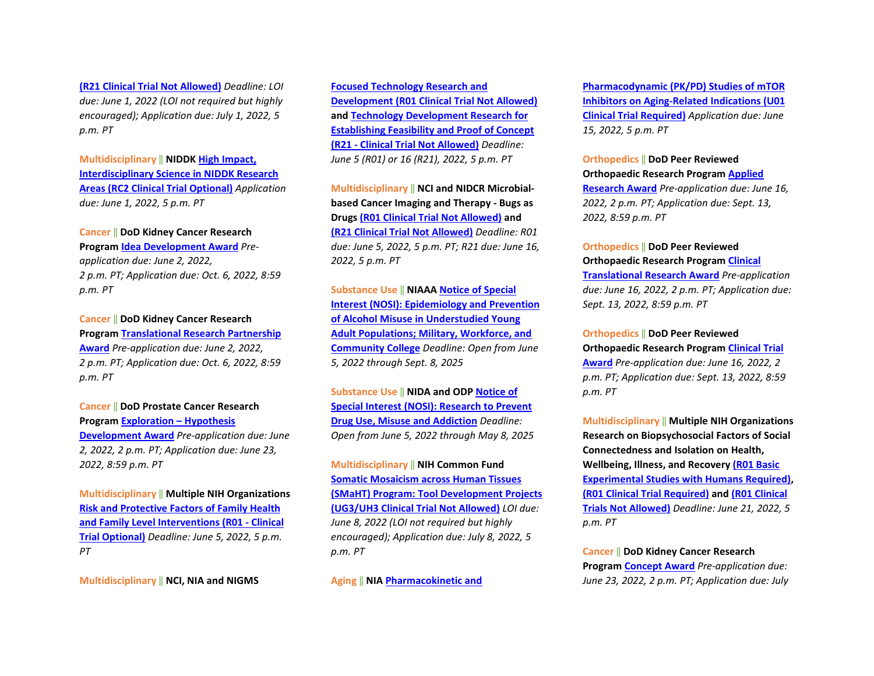**[\(R21 Clinical Trial Not Allowed\)](https://grants.nih.gov/grants/guide/rfa-files/RFA-OD-22-007.html)** *Deadline: LOI due: June 1, 2022 (LOI not required but highly encouraged); Application due: July 1, 2022, 5 p.m. PT*

**Multidisciplinary** ‖ **NIDDK [High Impact,](https://grants.nih.gov/grants/guide/pa-files/PAR-22-069.html)  [Interdisciplinary Science in NIDDK Research](https://grants.nih.gov/grants/guide/pa-files/PAR-22-069.html) [Areas \(RC2 Clinical Trial Optional\)](https://grants.nih.gov/grants/guide/pa-files/PAR-22-069.html)** *Application due: June 1, 2022, 5 p.m. PT* 

#### **Cancer** ‖ **DoD Kidney Cancer Research**

**Program [Idea Development Award](https://cdmrp.army.mil/pubs/press/2022/22kcrppreann)** *Preapplication due: June 2, 2022, 2 p.m. PT; Application due: Oct. 6, 2022, 8:59 p.m. PT* 

**Cancer** ‖ **DoD Kidney Cancer Research Program [Translational Research Partnership](https://cdmrp.army.mil/pubs/press/2022/22kcrppreann)  [Award](https://cdmrp.army.mil/pubs/press/2022/22kcrppreann)** *Pre-application due: June 2, 2022, 2 p.m. PT; Application due: Oct. 6, 2022, 8:59 p.m. PT* 

**Cancer** ‖ **DoD Prostate Cancer Research Program [Exploration – Hypothesis](https://cdmrp.army.mil/pubs/press/2022/22pcrppreann)  [Development Award](https://cdmrp.army.mil/pubs/press/2022/22pcrppreann)** *Pre-application due: June 2, 2022, 2 p.m. PT; Application due: June 23, 2022, 8:59 p.m. PT*

**Multidisciplinary** ‖ **Multiple NIH Organizations [Risk and Protective Factors of Family Health](https://grants.nih.gov/grants/guide/pa-files/PAR-21-358.html)  [and Family Level Interventions \(R01 - Clinical](https://grants.nih.gov/grants/guide/pa-files/PAR-21-358.html) [Trial Optional\)](https://grants.nih.gov/grants/guide/pa-files/PAR-21-358.html)** *Deadline: June 5, 2022, 5 p.m. PT*

**Multidisciplinary** ‖ **NCI, NIA and NIGMS** 

**[Focused Technology Research and](https://grants.nih.gov/grants/guide/pa-files/PAR-22-127.html)  [Development \(R01 Clinical Trial Not Allowed\)](https://grants.nih.gov/grants/guide/pa-files/PAR-22-127.html) and [Technology Development Research for](https://grants.nih.gov/grants/guide/pa-files/PAR-22-126.html)  [Establishing Feasibility and Proof of Concept](https://grants.nih.gov/grants/guide/pa-files/PAR-22-126.html)  [\(R21 - Clinical Trial Not Allowed\)](https://grants.nih.gov/grants/guide/pa-files/PAR-22-126.html)** *Deadline: June 5 (R01) or 16 (R21), 2022, 5 p.m. PT*

**Multidisciplinary** ‖ **NCI and NIDCR Microbialbased Cancer Imaging and Therapy - Bugs as Drugs [\(R01 Clinical Trial Not Allowed\)](https://grants.nih.gov/grants/guide/pa-files/PAR-22-085.html) and [\(R21 Clinical Trial Not Allowed\)](https://grants.nih.gov/grants/guide/pa-files/PAR-22-086.html)** *Deadline: R01 due: June 5, 2022, 5 p.m. PT; R21 due: June 16, 2022, 5 p.m. PT*

**Substance Use** ‖ **NIAA[A Notice of Special](https://grants.nih.gov/grants/guide/notice-files/NOT-AA-22-001.html)  [Interest \(NOSI\): Epidemiology and Prevention](https://grants.nih.gov/grants/guide/notice-files/NOT-AA-22-001.html)  [of Alcohol Misuse in Understudied Young](https://grants.nih.gov/grants/guide/notice-files/NOT-AA-22-001.html)  [Adult Populations; Military, Workforce, and](https://grants.nih.gov/grants/guide/notice-files/NOT-AA-22-001.html)  [Community College](https://grants.nih.gov/grants/guide/notice-files/NOT-AA-22-001.html)** *Deadline: Open from June 5, 2022 through Sept. 8, 2025*

**Substance Use** ‖ **NIDA and ODP [Notice of](https://grants.nih.gov/grants/guide/notice-files/NOT-DA-23-001.html)  [Special Interest \(NOSI\): Research to Prevent](https://grants.nih.gov/grants/guide/notice-files/NOT-DA-23-001.html)  [Drug Use, Misuse and Addiction](https://grants.nih.gov/grants/guide/notice-files/NOT-DA-23-001.html)** *Deadline: Open from June 5, 2022 through May 8, 2025*

**Multidisciplinary** ‖ **NIH Common Fund [Somatic Mosaicism across Human Tissues](https://grants.nih.gov/grants/guide/rfa-files/RFA-RM-22-011.html)  [\(SMaHT\) Program: Tool Development Projects](https://grants.nih.gov/grants/guide/rfa-files/RFA-RM-22-011.html)  [\(UG3/UH3 Clinical Trial Not Allowed\)](https://grants.nih.gov/grants/guide/rfa-files/RFA-RM-22-011.html)** *LOI due: June 8, 2022 (LOI not required but highly encouraged); Application due: July 8, 2022, 5 p.m. PT*

**Aging** ‖ **NI[A Pharmacokinetic and](https://grants.nih.gov/grants/guide/rfa-files/RFA-AG-23-008.html)** 

**[Pharmacodynamic \(PK/PD\) Studies of mTOR](https://grants.nih.gov/grants/guide/rfa-files/RFA-AG-23-008.html)  [Inhibitors on Aging-Related Indications \(U01](https://grants.nih.gov/grants/guide/rfa-files/RFA-AG-23-008.html)  [Clinical Trial Required\)](https://grants.nih.gov/grants/guide/rfa-files/RFA-AG-23-008.html)** *Application due: June 15, 2022, 5 p.m. PT* 

#### **Orthopedics** ‖ **DoD Peer Reviewed Orthopaedic Research Program [Applied](https://cdmrp.army.mil/prorp/default)**

**[Research Award](https://cdmrp.army.mil/prorp/default)** *Pre-application due: June 16, 2022, 2 p.m. PT; Application due: Sept. 13, 2022, 8:59 p.m. PT* 

# **Orthopedics** ‖ **DoD Peer Reviewed**

**Orthopaedic Research Program [Clinical](https://cdmrp.army.mil/prorp/default)** 

**[Translational Research Award](https://cdmrp.army.mil/prorp/default)** *Pre-application due: June 16, 2022, 2 p.m. PT; Application due: Sept. 13, 2022, 8:59 p.m. PT* 

#### **Orthopedics** ‖ **DoD Peer Reviewed**

**Orthopaedic Research Program [Clinical Trial](https://cdmrp.army.mil/prorp/default)  [Award](https://cdmrp.army.mil/prorp/default)** *Pre-application due: June 16, 2022, 2 p.m. PT; Application due: Sept. 13, 2022, 8:59 p.m. PT*

**Multidisciplinary** ‖ **Multiple NIH Organizations Research on Biopsychosocial Factors of Social Connectedness and Isolation on Health, Wellbeing, Illness, and Recovery [\(R01 Basic](https://grants.nih.gov/grants/guide/pa-files/PAR-21-349.html)  [Experimental Studies with Humans Required\),](https://grants.nih.gov/grants/guide/pa-files/PAR-21-349.html) [\(R01 Clinical Trial Required\)](https://grants.nih.gov/grants/guide/pa-files/PAR-21-352.html) an[d \(R01 Clinical](https://grants.nih.gov/grants/guide/pa-files/PAR-21-350.html)  [Trials Not Allowed\)](https://grants.nih.gov/grants/guide/pa-files/PAR-21-350.html)** *Deadline: June 21, 2022, 5 p.m. PT*

**Cancer** ‖ **DoD Kidney Cancer Research Program [Concept Award](https://cdmrp.army.mil/pubs/press/2022/22kcrppreann)** *Pre-application due: June 23, 2022, 2 p.m. PT; Application due: July*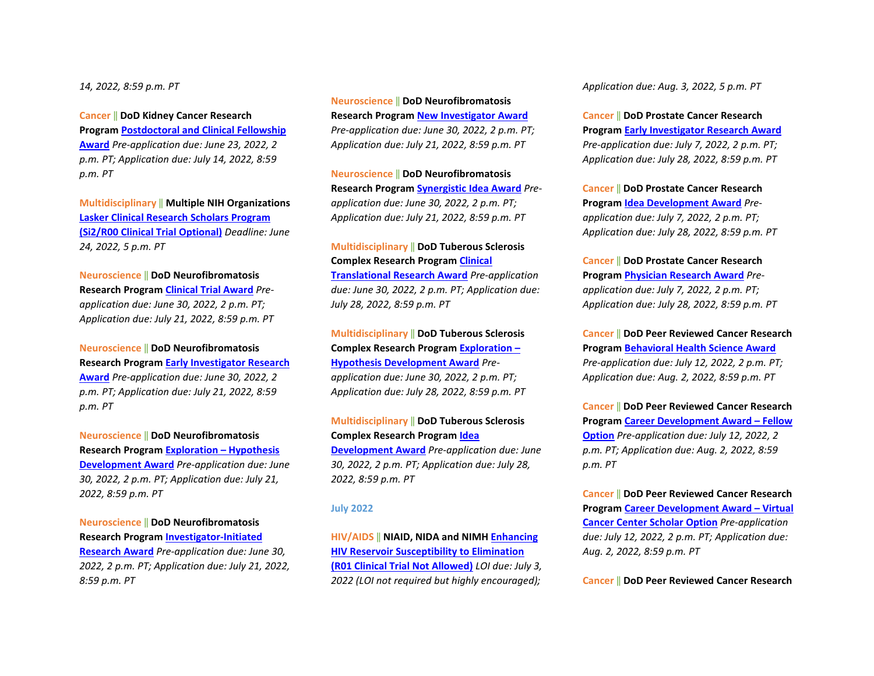*14, 2022, 8:59 p.m. PT* 

**Cancer** ‖ **DoD Kidney Cancer Research** 

**Program [Postdoctoral and Clinical Fellowship](https://cdmrp.army.mil/pubs/press/2022/22kcrppreann)  [Award](https://cdmrp.army.mil/pubs/press/2022/22kcrppreann)** *Pre-application due: June 23, 2022, 2 p.m. PT; Application due: July 14, 2022, 8:59 p.m. PT*

**Multidisciplinary** ‖ **Multiple NIH Organizations [Lasker Clinical Research Scholars Program](https://grants.nih.gov/grants/guide/pa-files/PAR-22-078.html)  [\(Si2/R00 Clinical Trial Optional\)](https://grants.nih.gov/grants/guide/pa-files/PAR-22-078.html)** *Deadline: June 24, 2022, 5 p.m. PT*

**Neuroscience** ‖ **DoD Neurofibromatosis Research Program [Clinical Trial Award](https://cdmrp.army.mil/pubs/press/2022/22nfrppreann)** *Preapplication due: June 30, 2022, 2 p.m. PT; Application due: July 21, 2022, 8:59 p.m. PT* 

**Neuroscience** ‖ **DoD Neurofibromatosis Research Program [Early Investigator Research](https://cdmrp.army.mil/pubs/press/2022/22nfrppreann)  [Award](https://cdmrp.army.mil/pubs/press/2022/22nfrppreann)** *Pre-application due: June 30, 2022, 2 p.m. PT; Application due: July 21, 2022, 8:59 p.m. PT* 

**Neuroscience** ‖ **DoD Neurofibromatosis Research Program [Exploration – Hypothesis](https://cdmrp.army.mil/pubs/press/2022/22nfrppreann)  [Development Award](https://cdmrp.army.mil/pubs/press/2022/22nfrppreann)** *Pre-application due: June 30, 2022, 2 p.m. PT; Application due: July 21, 2022, 8:59 p.m. PT* 

**Neuroscience** ‖ **DoD Neurofibromatosis Research Program [Investigator-Initiated](https://cdmrp.army.mil/pubs/press/2022/22nfrppreann)  [Research Award](https://cdmrp.army.mil/pubs/press/2022/22nfrppreann)** *Pre-application due: June 30, 2022, 2 p.m. PT; Application due: July 21, 2022, 8:59 p.m. PT* 

**Neuroscience** ‖ **DoD Neurofibromatosis Research Program [New Investigator Award](https://cdmrp.army.mil/pubs/press/2022/22nfrppreann)** *Pre-application due: June 30, 2022, 2 p.m. PT; Application due: July 21, 2022, 8:59 p.m. PT* 

**Neuroscience** ‖ **DoD Neurofibromatosis Research Program [Synergistic Idea Award](https://cdmrp.army.mil/pubs/press/2022/22nfrppreann)** *Preapplication due: June 30, 2022, 2 p.m. PT; Application due: July 21, 2022, 8:59 p.m. PT*

**Multidisciplinary** ‖ **DoD Tuberous Sclerosis Complex Research Progra[m Clinical](https://cdmrp.army.mil/funding/tscrp)** 

**[Translational Research Award](https://cdmrp.army.mil/funding/tscrp)** *Pre-application due: June 30, 2022, 2 p.m. PT; Application due: July 28, 2022, 8:59 p.m. PT* 

**Multidisciplinary** ‖ **DoD Tuberous Sclerosis Complex Research Progra[m Exploration –](https://cdmrp.army.mil/funding/tscrp)  [Hypothesis Development Award](https://cdmrp.army.mil/funding/tscrp)** *Preapplication due: June 30, 2022, 2 p.m. PT; Application due: July 28, 2022, 8:59 p.m. PT* 

**Multidisciplinary** ‖ **DoD Tuberous Sclerosis Complex Research Progra[m Idea](https://cdmrp.army.mil/funding/tscrp)  [Development Award](https://cdmrp.army.mil/funding/tscrp)** *Pre-application due: June 30, 2022, 2 p.m. PT; Application due: July 28, 2022, 8:59 p.m. PT*

#### **July 2022**

**HIV/AIDS** ‖ **NIAID, NIDA and NIMH [Enhancing](https://grants.nih.gov/grants/guide/rfa-files/RFA-AI-22-025.html)  [HIV Reservoir Susceptibility to Elimination](https://grants.nih.gov/grants/guide/rfa-files/RFA-AI-22-025.html)  [\(R01 Clinical Trial Not Allowed\)](https://grants.nih.gov/grants/guide/rfa-files/RFA-AI-22-025.html)** *LOI due: July 3, 2022 (LOI not required but highly encouraged);* 

*Application due: Aug. 3, 2022, 5 p.m. PT*

**Cancer** ‖ **DoD Prostate Cancer Research Program [Early Investigator Research Award](https://cdmrp.army.mil/pubs/press/2022/22pcrppreann)** *Pre-application due: July 7, 2022, 2 p.m. PT; Application due: July 28, 2022, 8:59 p.m. PT* 

**Cancer** ‖ **DoD Prostate Cancer Research Program [Idea Development Award](https://cdmrp.army.mil/pubs/press/2022/22pcrppreann)** *Preapplication due: July 7, 2022, 2 p.m. PT; Application due: July 28, 2022, 8:59 p.m. PT* 

**Cancer** ‖ **DoD Prostate Cancer Research Program [Physician Research Award](https://cdmrp.army.mil/pubs/press/2022/22pcrppreann)** *Preapplication due: July 7, 2022, 2 p.m. PT; Application due: July 28, 2022, 8:59 p.m. PT*

**Cancer** ‖ **DoD Peer Reviewed Cancer Research Program [Behavioral Health Science Award](https://cdmrp.army.mil/funding/prcrp)** *Pre-application due: July 12, 2022, 2 p.m. PT; Application due: Aug. 2, 2022, 8:59 p.m. PT* 

**Cancer** ‖ **DoD Peer Reviewed Cancer Research Program [Career Development Award – Fellow](https://cdmrp.army.mil/funding/prcrp)  [Option](https://cdmrp.army.mil/funding/prcrp)** *Pre-application due: July 12, 2022, 2 p.m. PT; Application due: Aug. 2, 2022, 8:59 p.m. PT* 

**Cancer** ‖ **DoD Peer Reviewed Cancer Research Program [Career Development Award – Virtual](https://cdmrp.army.mil/funding/prcrp)  [Cancer Center Scholar Option](https://cdmrp.army.mil/funding/prcrp)** *Pre-application due: July 12, 2022, 2 p.m. PT; Application due: Aug. 2, 2022, 8:59 p.m. PT* 

**Cancer** ‖ **DoD Peer Reviewed Cancer Research**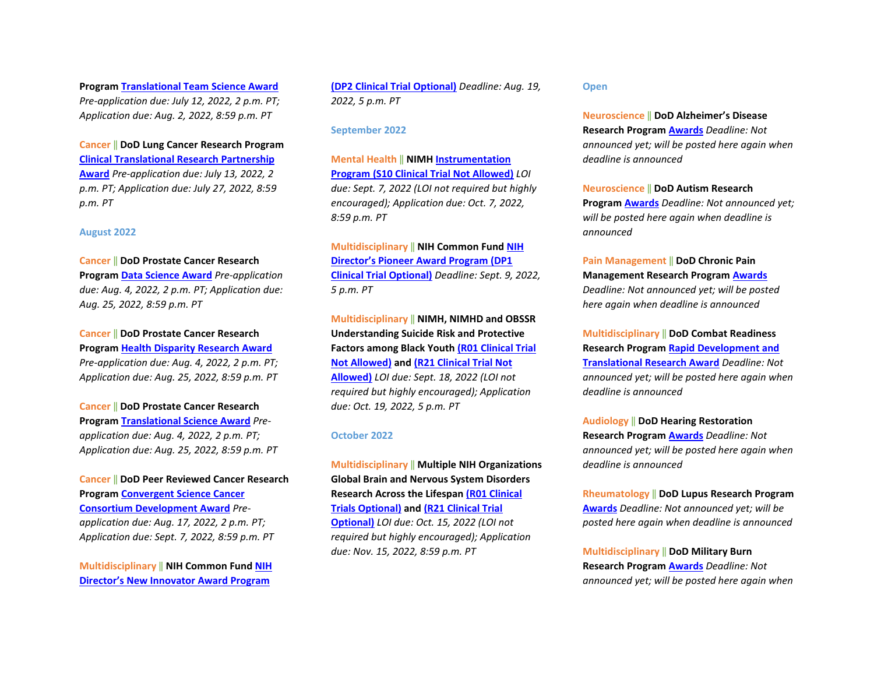**Program [Translational Team Science Award](https://cdmrp.army.mil/funding/prcrp)** *Pre-application due: July 12, 2022, 2 p.m. PT; Application due: Aug. 2, 2022, 8:59 p.m. PT*

**Cancer** ‖ **DoD Lung Cancer Research Program [Clinical Translational Research Partnership](https://cdmrp.army.mil/pubs/press/2022/22lcrppreann)  [Award](https://cdmrp.army.mil/pubs/press/2022/22lcrppreann)** *Pre-application due: July 13, 2022, 2 p.m. PT; Application due: July 27, 2022, 8:59 p.m. PT*

#### **August 2022**

**Cancer** ‖ **DoD Prostate Cancer Research Program [Data Science Award](https://cdmrp.army.mil/pubs/press/2022/22pcrppreann)** *Pre-application due: Aug. 4, 2022, 2 p.m. PT; Application due: Aug. 25, 2022, 8:59 p.m. PT* 

**Cancer** ‖ **DoD Prostate Cancer Research Program [Health Disparity Research Award](https://cdmrp.army.mil/pubs/press/2022/22pcrppreann)** *Pre-application due: Aug. 4, 2022, 2 p.m. PT; Application due: Aug. 25, 2022, 8:59 p.m. PT*

**Cancer** ‖ **DoD Prostate Cancer Research Program [Translational Science Award](https://cdmrp.army.mil/pubs/press/2022/22pcrppreann)** *Preapplication due: Aug. 4, 2022, 2 p.m. PT; Application due: Aug. 25, 2022, 8:59 p.m. PT*

**Cancer** ‖ **DoD Peer Reviewed Cancer Research Program [Convergent Science Cancer](https://cdmrp.army.mil/funding/prcrp)  [Consortium Development Award](https://cdmrp.army.mil/funding/prcrp)** *Preapplication due: Aug. 17, 2022, 2 p.m. PT; Application due: Sept. 7, 2022, 8:59 p.m. PT*

**Multidisciplinary** ‖ **NIH Common Fund [NIH](https://grants.nih.gov/grants/guide/rfa-files/RFA-RM-22-019.html)  [Director's New Innovator Award Program](https://grants.nih.gov/grants/guide/rfa-files/RFA-RM-22-019.html)** 

**[\(DP2 Clinical Trial Optional\)](https://grants.nih.gov/grants/guide/rfa-files/RFA-RM-22-019.html)** *Deadline: Aug. 19, 2022, 5 p.m. PT*

#### **September 2022**

**Mental Health** ‖ **NIMH [Instrumentation](https://grants.nih.gov/grants/guide/rfa-files/RFA-MH-22-155.html)  [Program \(S10 Clinical Trial Not Allowed\)](https://grants.nih.gov/grants/guide/rfa-files/RFA-MH-22-155.html)** *LOI due: Sept. 7, 2022 (LOI not required but highly encouraged); Application due: Oct. 7, 2022, 8:59 p.m. PT*

**Multidisciplinary** ‖ **NIH Common Fund [NIH](https://grants.nih.gov/grants/guide/rfa-files/RFA-RM-22-018.html)  [Director's Pioneer Award Program \(DP1](https://grants.nih.gov/grants/guide/rfa-files/RFA-RM-22-018.html)  [Clinical Trial Optional\)](https://grants.nih.gov/grants/guide/rfa-files/RFA-RM-22-018.html)** *Deadline: Sept. 9, 2022, 5 p.m. PT*

**Multidisciplinary** ‖ **NIMH, NIMHD and OBSSR Understanding Suicide Risk and Protective Factors among Black Yout[h \(R01 Clinical Trial](https://grants.nih.gov/grants/guide/rfa-files/RFA-MH-22-140.html)  [Not Allowed\)](https://grants.nih.gov/grants/guide/rfa-files/RFA-MH-22-140.html) and [\(R21 Clinical Trial Not](https://grants.nih.gov/grants/guide/rfa-files/RFA-MH-22-141.html)  [Allowed\)](https://grants.nih.gov/grants/guide/rfa-files/RFA-MH-22-141.html)** *LOI due: Sept. 18, 2022 (LOI not required but highly encouraged); Application due: Oct. 19, 2022, 5 p.m. PT*

#### **October 2022**

**Multidisciplinary** ‖ **Multiple NIH Organizations Global Brain and Nervous System Disorders Research Across the Lifespa[n \(R01 Clinical](https://grants.nih.gov/grants/guide/pa-files/PAR-22-097.html)  [Trials Optional\)](https://grants.nih.gov/grants/guide/pa-files/PAR-22-097.html) and [\(R21 Clinical Trial](https://grants.nih.gov/grants/guide/pa-files/PAR-22-098.html)  [Optional\)](https://grants.nih.gov/grants/guide/pa-files/PAR-22-098.html)** *LOI due: Oct. 15, 2022 (LOI not required but highly encouraged); Application due: Nov. 15, 2022, 8:59 p.m. PT*

#### **Open**

**Neuroscience** ‖ **DoD Alzheimer's Disease Research Program [Awards](https://cdmrp.army.mil/pubs/press/2022/22prarppreann)** *Deadline: Not announced yet; will be posted here again when deadline is announced*

**Neuroscience** ‖ **DoD Autism Research Program [Awards](https://cdmrp.army.mil/pubs/press/2022/22arppreann)** *Deadline: Not announced yet; will be posted here again when deadline is announced*

**Pain Management** ‖ **DoD Chronic Pain Management Research Program [Awards](https://cdmrp.army.mil/pubs/press/2022/22cpmrppreann)** *Deadline: Not announced yet; will be posted here again when deadline is announced*

**Multidisciplinary** ‖ **DoD Combat Readiness Research Program [Rapid Development and](https://cdmrp.army.mil/pubs/press/2022/22crrppreann)  [Translational Research Award](https://cdmrp.army.mil/pubs/press/2022/22crrppreann)** *Deadline: Not announced yet; will be posted here again when deadline is announced*

**Audiology** ‖ **DoD Hearing Restoration Research Program [Awards](https://cdmrp.army.mil/pubs/press/2022/22hrrppreann)** *Deadline: Not announced yet; will be posted here again when deadline is announced*

**Rheumatology** ‖ **DoD Lupus Research Program [Awards](https://cdmrp.army.mil/pubs/press/2022/22lrppreann)** *Deadline: Not announced yet; will be posted here again when deadline is announced*

**Multidisciplinary** ‖ **DoD Military Burn Research Program [Awards](https://cdmrp.army.mil/pubs/press/2022/22mbrppreann)** *Deadline: Not announced yet; will be posted here again when*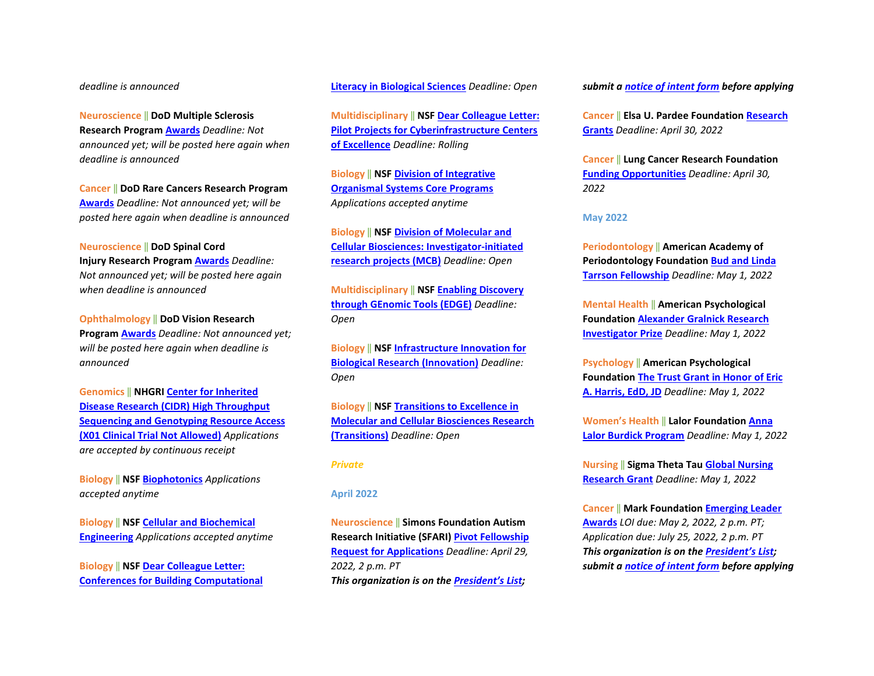#### *deadline is announced*

**Neuroscience** ‖ **DoD Multiple Sclerosis Research Program [Awards](https://cdmrp.army.mil/pubs/press/2022/22msrppreann)** *Deadline: Not announced yet; will be posted here again when deadline is announced* 

**Cancer** ‖ **DoD Rare Cancers Research Program [Awards](https://cdmrp.army.mil/pubs/press/2022/22rcrppreann)** *Deadline: Not announced yet; will be posted here again when deadline is announced*

#### **Neuroscience** ‖ **DoD Spinal Cord**

**Injury Research Progra[m Awards](https://cdmrp.army.mil/pubs/press/2022/22scirppreann)** *Deadline: Not announced yet; will be posted here again when deadline is announced* 

**Ophthalmology** ‖ **DoD Vision Research Program [Awards](https://cdmrp.army.mil/pubs/press/2022/22vrppreann)** *Deadline: Not announced yet; will be posted here again when deadline is announced*

**Genomics** ‖ **NHGRI [Center for Inherited](https://grants.nih.gov/grants/guide/pa-files/PAR-20-230.html)  [Disease Research \(CIDR\) High Throughput](https://grants.nih.gov/grants/guide/pa-files/PAR-20-230.html)  [Sequencing and Genotyping Resource Access](https://grants.nih.gov/grants/guide/pa-files/PAR-20-230.html)  [\(X01 Clinical Trial Not Allowed\)](https://grants.nih.gov/grants/guide/pa-files/PAR-20-230.html)** *Applications are accepted by continuous receipt* 

**Biology** ‖ **NSF [Biophotonics](https://www.nsf.gov/funding/pgm_summ.jsp?pims_id=505719)** *Applications accepted anytime*

**Biology** ‖ **NSF [Cellular and Biochemical](https://www.nsf.gov/funding/pgm_summ.jsp?pims_id=505721)  [Engineering](https://www.nsf.gov/funding/pgm_summ.jsp?pims_id=505721)** *Applications accepted anytime* 

**Biology** ‖ **NSF [Dear Colleague Letter:](https://www.nsf.gov/pubs/2020/nsf20074/nsf20074.jsp?WT.mc_id=USNSF_25&WT.mc_ev=click)  [Conferences for Building Computational](https://www.nsf.gov/pubs/2020/nsf20074/nsf20074.jsp?WT.mc_id=USNSF_25&WT.mc_ev=click)**  **[Literacy in Biological Sciences](https://www.nsf.gov/pubs/2020/nsf20074/nsf20074.jsp?WT.mc_id=USNSF_25&WT.mc_ev=click)** *Deadline: Open* 

**Multidisciplinary** ‖ **NS[F Dear Colleague Letter:](https://www.nsf.gov/pubs/2021/nsf21037/nsf21037.jsp?WT.mc_id=USNSF_25&WT.mc_ev=click)  [Pilot Projects for Cyberinfrastructure Centers](https://www.nsf.gov/pubs/2021/nsf21037/nsf21037.jsp?WT.mc_id=USNSF_25&WT.mc_ev=click)  [of Excellence](https://www.nsf.gov/pubs/2021/nsf21037/nsf21037.jsp?WT.mc_id=USNSF_25&WT.mc_ev=click)** *Deadline: Rolling*

**Biology** ‖ **NSF [Division of Integrative](https://www.nsf.gov/pubs/2020/nsf20536/nsf20536.htm?WT.mc_id=USNSF_25&WT.mc_ev=click)  [Organismal Systems Core](https://www.nsf.gov/pubs/2020/nsf20536/nsf20536.htm?WT.mc_id=USNSF_25&WT.mc_ev=click) Programs** *Applications accepted anytime* 

**Biology** ‖ **NSF [Division of Molecular and](https://www.nsf.gov/pubs/2021/nsf21509/nsf21509.htm?WT.mc_id=USNSF_25&WT.mc_ev=click)  [Cellular Biosciences: Investigator-initiated](https://www.nsf.gov/pubs/2021/nsf21509/nsf21509.htm?WT.mc_id=USNSF_25&WT.mc_ev=click)  [research projects \(MCB\)](https://www.nsf.gov/pubs/2021/nsf21509/nsf21509.htm?WT.mc_id=USNSF_25&WT.mc_ev=click)** *Deadline: Open*

**Multidisciplinary** ‖ **NS[F Enabling Discovery](https://www.nsf.gov/pubs/2020/nsf20532/nsf20532.htm?WT.mc_id=USNSF_25&WT.mc_ev=click)  [through GEnomic Tools \(EDGE\)](https://www.nsf.gov/pubs/2020/nsf20532/nsf20532.htm?WT.mc_id=USNSF_25&WT.mc_ev=click)** *Deadline: Open* 

**Biology** ‖ **NSF [Infrastructure Innovation for](https://www.nsf.gov/pubs/2021/nsf21502/nsf21502.htm?WT.mc_id=USNSF_25&WT.mc_ev=click)  [Biological Research \(Innovation\)](https://www.nsf.gov/pubs/2021/nsf21502/nsf21502.htm?WT.mc_id=USNSF_25&WT.mc_ev=click)** *Deadline: Open* 

**Biology** ‖ **NSF [Transitions to Excellence in](https://www.nsf.gov/pubs/2021/nsf21508/nsf21508.htm?WT.mc_id=USNSF_25&WT.mc_ev=click)  [Molecular and Cellular Biosciences Research](https://www.nsf.gov/pubs/2021/nsf21508/nsf21508.htm?WT.mc_id=USNSF_25&WT.mc_ev=click)  [\(Transitions\)](https://www.nsf.gov/pubs/2021/nsf21508/nsf21508.htm?WT.mc_id=USNSF_25&WT.mc_ev=click)** *Deadline: Open*

#### *Private*

#### **April 2022**

**Neuroscience** ‖ **Simons Foundation Autism Research Initiative (SFARI[\) Pivot Fellowship](https://www.simonsfoundation.org/grant/pivot-fellowship-request-for-applications?tab=rfa)  [Request for Applications](https://www.simonsfoundation.org/grant/pivot-fellowship-request-for-applications?tab=rfa)** *Deadline: April 29, 2022, 2 p.m. PT* *This organization is on th[e President's List;](https://o2.ohsu.edu/foundations/research-program-grants/ohsu-presidents-list/index.cfm)* 

*submit a [notice of intent form](https://app.smartsheet.com/b/form?EQBCT=b4b914967b774308b1947bbf8ab27b15) before applying* 

**Cancer** ‖ **Elsa U. Pardee Foundation [Research](https://pardeefoundation.org/how-to-apply/)  [Grants](https://pardeefoundation.org/how-to-apply/)** *Deadline: April 30, 2022* 

**Cancer** ‖ **Lung Cancer Research Foundation [Funding Opportunities](https://www.lungcancerresearchfoundation.org/research/funding-opportunities-2022/)** *Deadline: April 30, 2022*

#### **May 2022**

**Periodontology** ‖ **American Academy of Periodontology Foundation [Bud and Linda](https://www.periofoundation.org/awards/29-education-awards/18-bud-and-linda-tarrson-fellowship)  [Tarrson Fellowship](https://www.periofoundation.org/awards/29-education-awards/18-bud-and-linda-tarrson-fellowship)** *Deadline: May 1, 2022*

**Mental Health** ‖ **American Psychological Foundation [Alexander Gralnick Research](https://www.apa.org/apf/funding/gralnick?tab=1)  [Investigator Prize](https://www.apa.org/apf/funding/gralnick?tab=1)** *Deadline: May 1, 2022*

**Psychology** ‖ **American Psychological Foundation [The Trust Grant in Honor of Eric](https://www.apa.org/apf/funding/eric-harris?tab=1)  [A. Harris, EdD, JD](https://www.apa.org/apf/funding/eric-harris?tab=1)** *Deadline: May 1, 2022*

**Women's Health** ‖ **Lalor Foundatio[n Anna](https://lalorfound.org/anna-lalor-burdick-program/application-guidelines/)  [Lalor Burdick Program](https://lalorfound.org/anna-lalor-burdick-program/application-guidelines/)** *Deadline: May 1, 2022* 

**Nursing** ‖ **Sigma Theta Tau [Global Nursing](https://www.sigmanursing.org/advance-elevate/research/research-grants/global-nursing-research-grant)  [Research Grant](https://www.sigmanursing.org/advance-elevate/research/research-grants/global-nursing-research-grant)** *Deadline: May 1, 2022*

**Cancer** ‖ **Mark Foundation [Emerging Leader](https://themarkfoundation.org/emerging-leader-award/)  [Awards](https://themarkfoundation.org/emerging-leader-award/)** *LOI due: May 2, 2022, 2 p.m. PT; Application due: July 25, 2022, 2 p.m. PT* *This organization is on th[e President's List;](https://o2.ohsu.edu/foundations/research-program-grants/ohsu-presidents-list/index.cfm)  submit a [notice of intent form](https://app.smartsheet.com/b/form?EQBCT=b4b914967b774308b1947bbf8ab27b15) before applying*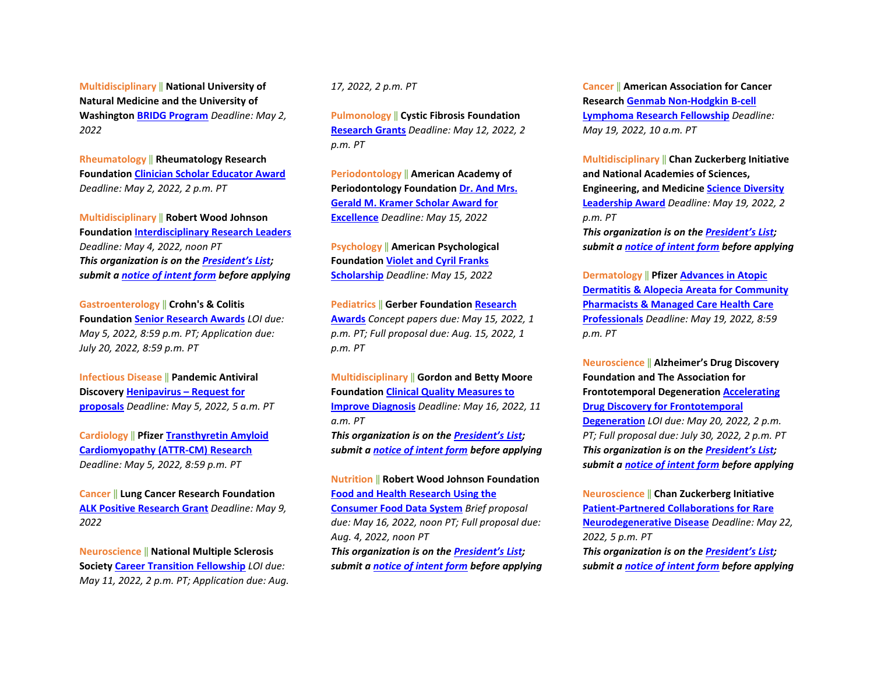**Multidisciplinary** ‖ **National University of Natural Medicine and the University of Washington [BRIDG Program](https://sites.uw.edu/bridg90/)** *Deadline: May 2, 2022*

**Rheumatology** ‖ **Rheumatology Research Foundation [Clinician Scholar Educator Award](chrome-extension://efaidnbmnnnibpcajpcglclefindmkaj/viewer.html?pdfurl=https%3A%2F%2Fwww.rheumresearch.org%2Ffile%2Fawards%2F04-education-and-training%2FFY24-Clinician-Scholar-Educator-Award---FINAL.pdf&clen=217446&pdffilename=FY24-Clinician-Scholar-Educator-Award---FINAL.pdf)** *Deadline: May 2, 2022, 2 p.m. PT*

**Multidisciplinary** ‖ **Robert Wood Johnson Foundation [Interdisciplinary Research Leaders](https://www.rwjf.org/en/library/funding-opportunities/2022/interdisciplinary-research-leaders.html)** *Deadline: May 4, 2022, noon PT* *This organization is on th[e President's List;](https://o2.ohsu.edu/foundations/research-program-grants/ohsu-presidents-list/index.cfm)  submit a [notice of intent form](https://app.smartsheet.com/b/form?EQBCT=b4b914967b774308b1947bbf8ab27b15) before applying* 

**Gastroenterology** ‖ **Crohn's & Colitis Foundation [Senior Research Awards](https://www.crohnscolitisfoundation.org/research/grants-fellowships/senior-research-awards)** *LOI due: May 5, 2022, 8:59 p.m. PT; Application due: July 20, 2022, 8:59 p.m. PT* 

**Infectious Disease** ‖ **Pandemic Antiviral Discover[y Henipavirus – Request for](https://padinitiative.com/henipavirus-request-for-proposals-2022/)  [proposals](https://padinitiative.com/henipavirus-request-for-proposals-2022/)** *Deadline: May 5, 2022, 5 a.m. PT*

**Cardiology** ‖ **Pfize[r Transthyretin Amyloid](https://cdn.pfizer.com/pfizercom/2022-03/GMG_2022-RD-US_ATTR-CMResearch.pdf)  [Cardiomyopathy \(ATTR-CM\) Research](https://cdn.pfizer.com/pfizercom/2022-03/GMG_2022-RD-US_ATTR-CMResearch.pdf)** *Deadline: May 5, 2022, 8:59 p.m. PT*

**Cancer** ‖ **Lung Cancer Research Foundation [ALK Positive Research Grant](https://www.lungcancerresearchfoundation.org/research/funding-opportunities-2022/)** *Deadline: May 9, 2022*

**Neuroscience** ‖ **National Multiple Sclerosis Society [Career Transition Fellowship](https://www.nationalmssociety.org/For-Professionals/Researchers/Society-Funding/Training-Grants-and-Fellowships/Career-Transition-Fellowships)** *LOI due: May 11, 2022, 2 p.m. PT; Application due: Aug.*  *17, 2022, 2 p.m. PT*

**Pulmonology** ‖ **Cystic Fibrosis Foundation [Research Grants](https://www.cff.org/sites/default/files/2021-11/Research-Grants-Policies-and-Guidelines.pdf)** *Deadline: May 12, 2022, 2 p.m. PT* 

**Periodontology** ‖ **American Academy of Periodontology Foundation [Dr. And Mrs.](https://www.periofoundation.org/awards/29-education-awards/20-dr-and-mrs-gerald-m-kramer-scholar-award-for-excellence)  [Gerald M. Kramer Scholar Award for](https://www.periofoundation.org/awards/29-education-awards/20-dr-and-mrs-gerald-m-kramer-scholar-award-for-excellence)  [Excellence](https://www.periofoundation.org/awards/29-education-awards/20-dr-and-mrs-gerald-m-kramer-scholar-award-for-excellence)** *Deadline: May 15, 2022* 

**Psychology** ‖ **American Psychological Foundation [Violet and Cyril Franks](https://www.apa.org/apf/funding/franks?tab=1)  [Scholarship](https://www.apa.org/apf/funding/franks?tab=1)** *Deadline: May 15, 2022* 

**Pediatrics** ‖ **Gerber Foundatio[n Research](https://www.gerberfoundation.org/how-to-apply/)  [Awards](https://www.gerberfoundation.org/how-to-apply/)** *Concept papers due: May 15, 2022, 1 p.m. PT; Full proposal due: Aug. 15, 2022, 1 p.m. PT* 

**Multidisciplinary** ‖ **Gordon and Betty Moore Foundation [Clinical Quality Measures to](https://moore-patientcare.smapply.io/prog/request_for_proposals/)  [Improve Diagnosis](https://moore-patientcare.smapply.io/prog/request_for_proposals/)** *Deadline: May 16, 2022, 11 a.m. PT* *This organization is on th[e President's List;](https://o2.ohsu.edu/foundations/research-program-grants/ohsu-presidents-list/index.cfm)  submit a [notice of intent form](https://app.smartsheet.com/b/form?EQBCT=b4b914967b774308b1947bbf8ab27b15) before applying*

**Nutrition** ‖ **Robert Wood Johnson Foundation [Food and Health Research Using the](https://www.rwjf.org/en/library/funding-opportunities/2022/consumer-food-data-system-grant-competition-for-food-and-health-research.html)  [Consumer Food Data System](https://www.rwjf.org/en/library/funding-opportunities/2022/consumer-food-data-system-grant-competition-for-food-and-health-research.html)** *Brief proposal due: May 16, 2022, noon PT; Full proposal due: Aug. 4, 2022, noon PT* *This organization is on th[e President's List;](https://o2.ohsu.edu/foundations/research-program-grants/ohsu-presidents-list/index.cfm)  submit a [notice of intent form](https://app.smartsheet.com/b/form?EQBCT=b4b914967b774308b1947bbf8ab27b15) before applying*  **Cancer** ‖ **American Association for Cancer Research [Genmab Non-Hodgkin B-cell](https://www.aacr.org/grants/aacr-genmab-non-hodgkin-b-cell-lymphoma-research-fellowship/)  [Lymphoma Research Fellowship](https://www.aacr.org/grants/aacr-genmab-non-hodgkin-b-cell-lymphoma-research-fellowship/)** *Deadline: May 19, 2022, 10 a.m. PT*

**Multidisciplinary** ‖ **Chan Zuckerberg Initiative and National Academies of Sciences, Engineering, and Medicin[e Science Diversity](https://czi-sciencediversityleadership.nas.edu/?utm_campaign=Science&utm_medium=email&_hsmi=202011041&_hsenc=p2ANqtz--88UBGvJXoN3C0KeiJ-89MnlZpGjmf8rrlX-AyT84l34RT1EonLsHO7mZdma9Q4g52qVSroB6WYVu2nSny9f0KmJjt0Q&utm_content=202011041&utm_source=hs_email)  [Leadership Award](https://czi-sciencediversityleadership.nas.edu/?utm_campaign=Science&utm_medium=email&_hsmi=202011041&_hsenc=p2ANqtz--88UBGvJXoN3C0KeiJ-89MnlZpGjmf8rrlX-AyT84l34RT1EonLsHO7mZdma9Q4g52qVSroB6WYVu2nSny9f0KmJjt0Q&utm_content=202011041&utm_source=hs_email)** *Deadline: May 19, 2022, 2 p.m. PT* *This organization is on th[e President's List;](https://o2.ohsu.edu/foundations/research-program-grants/ohsu-presidents-list/index.cfm)  submit a [notice of intent form](https://app.smartsheet.com/b/form?EQBCT=b4b914967b774308b1947bbf8ab27b15) before applying* 

**Dermatology** ‖ **Pfizer [Advances in Atopic](https://cdn.pfizer.com/pfizercom/2022-04/2022%20Advances%20in%20AD%20AA%20for%20Pharmacists%20Managed%20Care.pdf?XKYNvMK7OPUbUq_IddbBCqaVN0HNaB8C)  [Dermatitis & Alopecia Areata for Community](https://cdn.pfizer.com/pfizercom/2022-04/2022%20Advances%20in%20AD%20AA%20for%20Pharmacists%20Managed%20Care.pdf?XKYNvMK7OPUbUq_IddbBCqaVN0HNaB8C)  [Pharmacists & Managed Care Health Care](https://cdn.pfizer.com/pfizercom/2022-04/2022%20Advances%20in%20AD%20AA%20for%20Pharmacists%20Managed%20Care.pdf?XKYNvMK7OPUbUq_IddbBCqaVN0HNaB8C)  [Professionals](https://cdn.pfizer.com/pfizercom/2022-04/2022%20Advances%20in%20AD%20AA%20for%20Pharmacists%20Managed%20Care.pdf?XKYNvMK7OPUbUq_IddbBCqaVN0HNaB8C)** *Deadline: May 19, 2022, 8:59 p.m. PT* 

**Neuroscience** ‖ **Alzheimer's Drug Discovery Foundation and The Association for Frontotemporal Degeneration [Accelerating](https://www.alzdiscovery.org/research-and-grants/funding-opportunities/accelerating-drug-discovery-for-ftd)  [Drug Discovery for Frontotemporal](https://www.alzdiscovery.org/research-and-grants/funding-opportunities/accelerating-drug-discovery-for-ftd)  [Degeneration](https://www.alzdiscovery.org/research-and-grants/funding-opportunities/accelerating-drug-discovery-for-ftd)** *LOI due: May 20, 2022, 2 p.m. PT; Full proposal due: July 30, 2022, 2 p.m. PT* *This organization is on th[e President's List;](https://o2.ohsu.edu/foundations/research-program-grants/ohsu-presidents-list/index.cfm)  submit a [notice of intent form](https://app.smartsheet.com/b/form?EQBCT=b4b914967b774308b1947bbf8ab27b15) before applying* 

**Neuroscience** ‖ **Chan Zuckerberg Initiative [Patient-Partnered Collaborations for Rare](https://chanzuckerberg.com/rfa/patient-partnered-collaborations-ppc-for-rare-neurodegenerative-disease/?utm_campaign=Science&utm_medium=email&_hsmi=202580275&_hsenc=p2ANqtz-946U4Kw7ThYOIbDmUNI8BHEU-hdDrbGmVUqjm-UgnUV0y5OmZh0xv2X-s_N7gvjxD35Lw5BLa8ym_RUDx7x5zTK4nCIA&utm_content=202580275&utm_source=hs_email)  [Neurodegenerative Disease](https://chanzuckerberg.com/rfa/patient-partnered-collaborations-ppc-for-rare-neurodegenerative-disease/?utm_campaign=Science&utm_medium=email&_hsmi=202580275&_hsenc=p2ANqtz-946U4Kw7ThYOIbDmUNI8BHEU-hdDrbGmVUqjm-UgnUV0y5OmZh0xv2X-s_N7gvjxD35Lw5BLa8ym_RUDx7x5zTK4nCIA&utm_content=202580275&utm_source=hs_email)** *Deadline: May 22, 2022, 5 p.m. PT* *This organization is on th[e President's List;](https://o2.ohsu.edu/foundations/research-program-grants/ohsu-presidents-list/index.cfm)  submit a [notice of intent form](https://app.smartsheet.com/b/form?EQBCT=b4b914967b774308b1947bbf8ab27b15) before applying*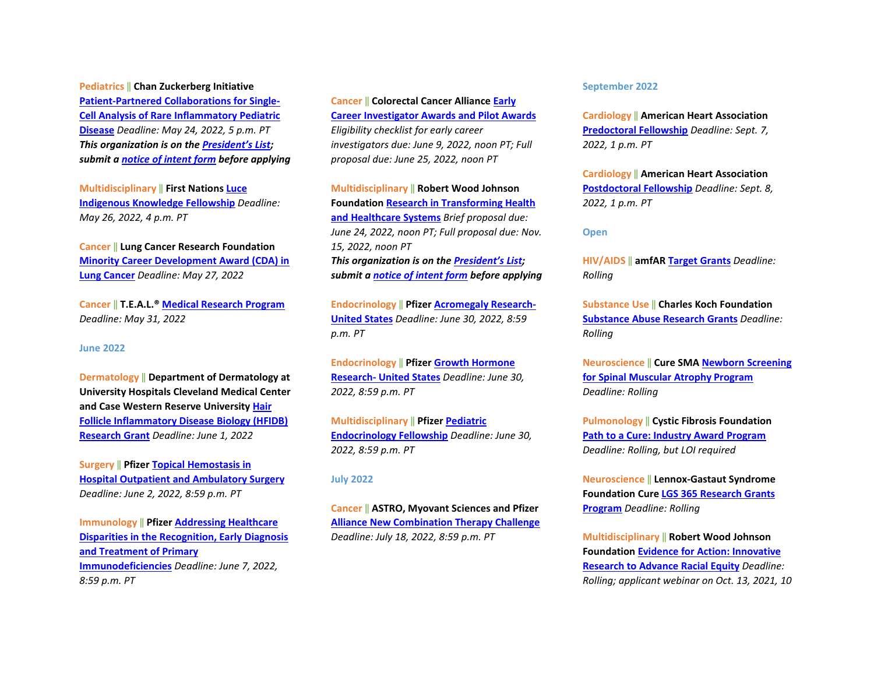**Pediatrics** ‖ **Chan Zuckerberg Initiative [Patient-Partnered Collaborations for Single-](https://chanzuckerberg.com/rfa/patient-partnered-collaborations-ppc-for-single-cell-analysis-of-rare-inflammatory-pediatric-disease/?utm_campaign=Science&utm_medium=email&_hsmi=202580275&_hsenc=p2ANqtz--ZJQ1ZVboYQ8IjCVmLEiXg223VV2gl607F0C4t8ORCAD1ruU7JpprCrP-K67vjH6EVYjxhoZPv8KHkER79YC8miPSm_A&utm_content=202580275&utm_source=hs_email)[Cell Analysis of Rare Inflammatory Pediatric](https://chanzuckerberg.com/rfa/patient-partnered-collaborations-ppc-for-single-cell-analysis-of-rare-inflammatory-pediatric-disease/?utm_campaign=Science&utm_medium=email&_hsmi=202580275&_hsenc=p2ANqtz--ZJQ1ZVboYQ8IjCVmLEiXg223VV2gl607F0C4t8ORCAD1ruU7JpprCrP-K67vjH6EVYjxhoZPv8KHkER79YC8miPSm_A&utm_content=202580275&utm_source=hs_email)  [Disease](https://chanzuckerberg.com/rfa/patient-partnered-collaborations-ppc-for-single-cell-analysis-of-rare-inflammatory-pediatric-disease/?utm_campaign=Science&utm_medium=email&_hsmi=202580275&_hsenc=p2ANqtz--ZJQ1ZVboYQ8IjCVmLEiXg223VV2gl607F0C4t8ORCAD1ruU7JpprCrP-K67vjH6EVYjxhoZPv8KHkER79YC8miPSm_A&utm_content=202580275&utm_source=hs_email)** *Deadline: May 24, 2022, 5 p.m. PT* *This organization is on th[e President's List;](https://o2.ohsu.edu/foundations/research-program-grants/ohsu-presidents-list/index.cfm)  submit a [notice of intent form](https://app.smartsheet.com/b/form?EQBCT=b4b914967b774308b1947bbf8ab27b15) before applying* 

**Multidisciplinary** ‖ **First Nations [Luce](https://www.firstnations.org/rfps/luce-2023/?bbeml=tp-pck9Q6QNPEiuBt3JmyTokQ.jjxjUwkq7j0qZ6JY8TF6ZyA.ryhV3KooWDEmTfEFb_-AY7A.lG2Twnxevk0qKGIsR419B5Q)  [Indigenous Knowledge Fellowship](https://www.firstnations.org/rfps/luce-2023/?bbeml=tp-pck9Q6QNPEiuBt3JmyTokQ.jjxjUwkq7j0qZ6JY8TF6ZyA.ryhV3KooWDEmTfEFb_-AY7A.lG2Twnxevk0qKGIsR419B5Q)** *Deadline: May 26, 2022, 4 p.m. PT*

**Cancer** ‖ **Lung Cancer Research Foundation [Minority Career Development Award \(CDA\) in](https://www.lungcancerresearchfoundation.org/research/funding-opportunities-2022/)  [Lung Cancer](https://www.lungcancerresearchfoundation.org/research/funding-opportunities-2022/)** *Deadline: May 27, 2022*

**Cancer** ‖ **T.E.A.L.® [Medical Research Program](https://tealwalk.org/beneficiaries/)** *Deadline: May 31, 2022*

#### **June 2022**

**Dermatology** ‖ **Department of Dermatology at University Hospitals Cleveland Medical Center and Case Western Reserve University [Hair](https://www.uhhospitals.org/uh-research/department-research/dermatology-research/hfidb-research-grant)  [Follicle Inflammatory Disease Biology \(HFIDB\)](https://www.uhhospitals.org/uh-research/department-research/dermatology-research/hfidb-research-grant)  [Research Grant](https://www.uhhospitals.org/uh-research/department-research/dermatology-research/hfidb-research-grant)** *Deadline: June 1, 2022* 

**Surgery** ‖ **Pfizer [Topical Hemostasis in](https://cdn.pfizer.com/pfizercom/2022-04/GMG_2022-HOS-US_TopicalHemostasisHospitalOutpatientAmbulatorySurgery.pdf?LsrivFTCJ3YId2S2PJma6WU2D1CEoYhE)  [Hospital Outpatient and Ambulatory Surgery](https://cdn.pfizer.com/pfizercom/2022-04/GMG_2022-HOS-US_TopicalHemostasisHospitalOutpatientAmbulatorySurgery.pdf?LsrivFTCJ3YId2S2PJma6WU2D1CEoYhE)** *Deadline: June 2, 2022, 8:59 p.m. PT* 

**Immunology** ‖ **Pfize[r Addressing Healthcare](https://cdn.pfizer.com/pfizercom/2022-04/2022%20Primary%20Immunodeficiencies_General%20RFP%20Template-Education-v.Feb2022_FINAL.pdf?thwr8eE75fjVjzORLh9gCgr7uMoiRqne)  [Disparities in the Recognition, Early Diagnosis](https://cdn.pfizer.com/pfizercom/2022-04/2022%20Primary%20Immunodeficiencies_General%20RFP%20Template-Education-v.Feb2022_FINAL.pdf?thwr8eE75fjVjzORLh9gCgr7uMoiRqne)  [and Treatment of Primary](https://cdn.pfizer.com/pfizercom/2022-04/2022%20Primary%20Immunodeficiencies_General%20RFP%20Template-Education-v.Feb2022_FINAL.pdf?thwr8eE75fjVjzORLh9gCgr7uMoiRqne)  [Immunodeficiencies](https://cdn.pfizer.com/pfizercom/2022-04/2022%20Primary%20Immunodeficiencies_General%20RFP%20Template-Education-v.Feb2022_FINAL.pdf?thwr8eE75fjVjzORLh9gCgr7uMoiRqne)** *Deadline: June 7, 2022, 8:59 p.m. PT* 

**Cancer** ‖ **Colorectal Cancer Alliance [Early](https://www.ccalliance.org/research/apply-for-research-grant)  [Career Investigator Awards and](https://www.ccalliance.org/research/apply-for-research-grant) Pilot Awards** *Eligibility checklist for early career investigators due: June 9, 2022, noon PT; Full proposal due: June 25, 2022, noon PT*

**Multidisciplinary** ‖ **Robert Wood Johnson Foundation [Research in Transforming Health](https://www.rwjf.org/en/library/funding-opportunities/2022/research-in-transforming-health-and-healthcare-systems.html?rid=0034400001rlqDeAAI&et_cid=2531459)  [and Healthcare Systems](https://www.rwjf.org/en/library/funding-opportunities/2022/research-in-transforming-health-and-healthcare-systems.html?rid=0034400001rlqDeAAI&et_cid=2531459)** *Brief proposal due: June 24, 2022, noon PT; Full proposal due: Nov. 15, 2022, noon PT* *This organization is on th[e President's List;](https://o2.ohsu.edu/foundations/research-program-grants/ohsu-presidents-list/index.cfm)  submit a [notice of intent form](https://app.smartsheet.com/b/form?EQBCT=b4b914967b774308b1947bbf8ab27b15) before applying* 

**Endocrinology** ‖ **Pfize[r Acromegaly Research-](chrome-extension://efaidnbmnnnibpcajpcglclefindmkaj/viewer.html?pdfurl=https%3A%2F%2Fcdn.pfizer.com%2Fpfizercom%2F2022-03%2FGMG_2022-RD-US_EndocrinologyResearch.pdf%3FUli417SwGd06IkhQ7pMr.Ay78zKhu.pf&clen=982952&chunk=true)[United States](chrome-extension://efaidnbmnnnibpcajpcglclefindmkaj/viewer.html?pdfurl=https%3A%2F%2Fcdn.pfizer.com%2Fpfizercom%2F2022-03%2FGMG_2022-RD-US_EndocrinologyResearch.pdf%3FUli417SwGd06IkhQ7pMr.Ay78zKhu.pf&clen=982952&chunk=true)** *Deadline: June 30, 2022, 8:59 p.m. PT* 

**Endocrinology** ‖ **Pfize[r Growth Hormone](chrome-extension://efaidnbmnnnibpcajpcglclefindmkaj/viewer.html?pdfurl=https%3A%2F%2Fcdn.pfizer.com%2Fpfizercom%2F2022-04%2F2022%2520RD%2520US%2520Growth%2520Hormone%2520Research.pdf%3FoxiTvcADX8WQipxWNQPnvhPgzPY7auwi&clen=994144&chunk=true)  [Research- United States](chrome-extension://efaidnbmnnnibpcajpcglclefindmkaj/viewer.html?pdfurl=https%3A%2F%2Fcdn.pfizer.com%2Fpfizercom%2F2022-04%2F2022%2520RD%2520US%2520Growth%2520Hormone%2520Research.pdf%3FoxiTvcADX8WQipxWNQPnvhPgzPY7auwi&clen=994144&chunk=true)** *Deadline: June 30, 2022, 8:59 p.m. PT* 

**Multidisciplinary** ‖ **Pfizer [Pediatric](chrome-extension://efaidnbmnnnibpcajpcglclefindmkaj/viewer.html?pdfurl=https%3A%2F%2Fcdn.pfizer.com%2Fpfizercom%2F2022-04%2FGMG_2022-RD-US_PediatricEndocrinologyFellowship.pdf%3FPgjMelENRKuo7zQrypMUVhIj9JFcOqXy&clen=1315798&chunk=true)  [Endocrinology Fellowship](chrome-extension://efaidnbmnnnibpcajpcglclefindmkaj/viewer.html?pdfurl=https%3A%2F%2Fcdn.pfizer.com%2Fpfizercom%2F2022-04%2FGMG_2022-RD-US_PediatricEndocrinologyFellowship.pdf%3FPgjMelENRKuo7zQrypMUVhIj9JFcOqXy&clen=1315798&chunk=true)** *Deadline: June 30, 2022, 8:59 p.m. PT*

#### **July 2022**

**Cancer** ‖ **ASTRO, Myovant Sciences and Pfizer [Alliance New Combination Therapy Challenge](chrome-extension://efaidnbmnnnibpcajpcglclefindmkaj/viewer.html?pdfurl=https%3A%2F%2Fcdn.pfizer.com%2Fpfizercom%2F2022-03%2FGMG_2022-ASTRO-MyovantSciences-PfizerAllianceNewCombinationTherapyChallenge.pdf%3FYc7QKmRNHOp3jD3izLXB.TcYigBJqXp1&clen=219204&chunk=true)** *Deadline: July 18, 2022, 8:59 p.m. PT*

#### **September 2022**

**Cardiology** ‖ **American Heart Association [Predoctoral Fellowship](https://professional.heart.org/en/research-programs/application-information/predoctoral-fellowship)** *Deadline: Sept. 7, 2022, 1 p.m. PT* 

**Cardiology** ‖ **American Heart Association [Postdoctoral Fellowship](https://professional.heart.org/en/research-programs/application-information/postdoctoral-fellowship)** *Deadline: Sept. 8, 2022, 1 p.m. PT*

#### **Open**

**HIV/AIDS** ‖ **amfA[R Target Grants](https://www.amfar.org/target-grants-rfp-new/)** *Deadline: Rolling*

**Substance Use** ‖ **Charles Koch Foundation [Substance Abuse Research Grants](https://www.charleskochfoundation.org/apply-for-grants/requests-for-proposals/communities/substance-abuse-research-grants/)** *Deadline: Rolling*

**Neuroscience** ‖ **Cure SMA [Newborn Screening](https://www.curesma.org/funding-opportunities/)  [for Spinal Muscular Atrophy Program](https://www.curesma.org/funding-opportunities/)** *Deadline: Rolling*

**Pulmonology** ‖ **Cystic Fibrosis Foundation [Path to a Cure: Industry Award Program](https://www.cff.org/Research/Researcher-Resources/Awards-and-Grants/Research-Awards/Industry-Funding-Opportunities/)** *Deadline: Rolling, but LOI required*

**Neuroscience** ‖ **Lennox-Gastaut Syndrome Foundation Cur[e LGS 365 Research Grants](https://www.lgsfoundation.org/365-research-grants/)  [Program](https://www.lgsfoundation.org/365-research-grants/)** *Deadline: Rolling*

**Multidisciplinary** ‖ **Robert Wood Johnson Foundation [Evidence for Action: Innovative](https://www.rwjf.org/en/library/funding-opportunities/2021/evidence-for-action--innovative-research-to-advance-racial-equity.html?rid=0034400001rlqDeAAI&et_cid=2479482)  [Research to Advance Racial Equity](https://www.rwjf.org/en/library/funding-opportunities/2021/evidence-for-action--innovative-research-to-advance-racial-equity.html?rid=0034400001rlqDeAAI&et_cid=2479482)** *Deadline: Rolling; applicant webinar on Oct. 13, 2021, 10*